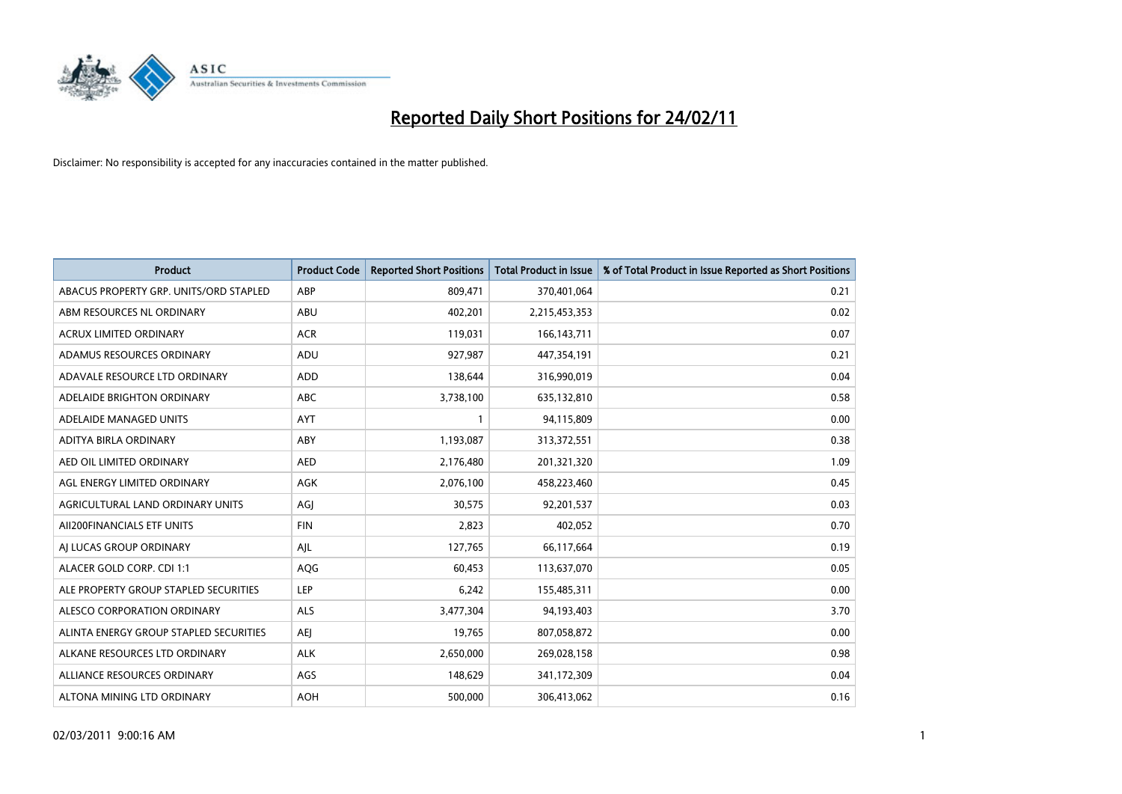

| Product                                | <b>Product Code</b> | <b>Reported Short Positions</b> | <b>Total Product in Issue</b> | % of Total Product in Issue Reported as Short Positions |
|----------------------------------------|---------------------|---------------------------------|-------------------------------|---------------------------------------------------------|
| ABACUS PROPERTY GRP. UNITS/ORD STAPLED | ABP                 | 809,471                         | 370,401,064                   | 0.21                                                    |
| ABM RESOURCES NL ORDINARY              | ABU                 | 402,201                         | 2,215,453,353                 | 0.02                                                    |
| <b>ACRUX LIMITED ORDINARY</b>          | <b>ACR</b>          | 119,031                         | 166, 143, 711                 | 0.07                                                    |
| ADAMUS RESOURCES ORDINARY              | ADU                 | 927,987                         | 447,354,191                   | 0.21                                                    |
| ADAVALE RESOURCE LTD ORDINARY          | <b>ADD</b>          | 138,644                         | 316,990,019                   | 0.04                                                    |
| ADELAIDE BRIGHTON ORDINARY             | <b>ABC</b>          | 3,738,100                       | 635,132,810                   | 0.58                                                    |
| ADELAIDE MANAGED UNITS                 | <b>AYT</b>          |                                 | 94,115,809                    | 0.00                                                    |
| ADITYA BIRLA ORDINARY                  | ABY                 | 1,193,087                       | 313,372,551                   | 0.38                                                    |
| AED OIL LIMITED ORDINARY               | <b>AED</b>          | 2,176,480                       | 201,321,320                   | 1.09                                                    |
| AGL ENERGY LIMITED ORDINARY            | AGK                 | 2,076,100                       | 458,223,460                   | 0.45                                                    |
| AGRICULTURAL LAND ORDINARY UNITS       | AGJ                 | 30,575                          | 92,201,537                    | 0.03                                                    |
| AII200FINANCIALS ETF UNITS             | <b>FIN</b>          | 2,823                           | 402,052                       | 0.70                                                    |
| AI LUCAS GROUP ORDINARY                | AJL                 | 127,765                         | 66,117,664                    | 0.19                                                    |
| ALACER GOLD CORP. CDI 1:1              | AQG                 | 60,453                          | 113,637,070                   | 0.05                                                    |
| ALE PROPERTY GROUP STAPLED SECURITIES  | LEP                 | 6,242                           | 155,485,311                   | 0.00                                                    |
| ALESCO CORPORATION ORDINARY            | <b>ALS</b>          | 3,477,304                       | 94,193,403                    | 3.70                                                    |
| ALINTA ENERGY GROUP STAPLED SECURITIES | <b>AEJ</b>          | 19,765                          | 807,058,872                   | 0.00                                                    |
| ALKANE RESOURCES LTD ORDINARY          | <b>ALK</b>          | 2,650,000                       | 269,028,158                   | 0.98                                                    |
| ALLIANCE RESOURCES ORDINARY            | AGS                 | 148,629                         | 341,172,309                   | 0.04                                                    |
| ALTONA MINING LTD ORDINARY             | <b>AOH</b>          | 500,000                         | 306,413,062                   | 0.16                                                    |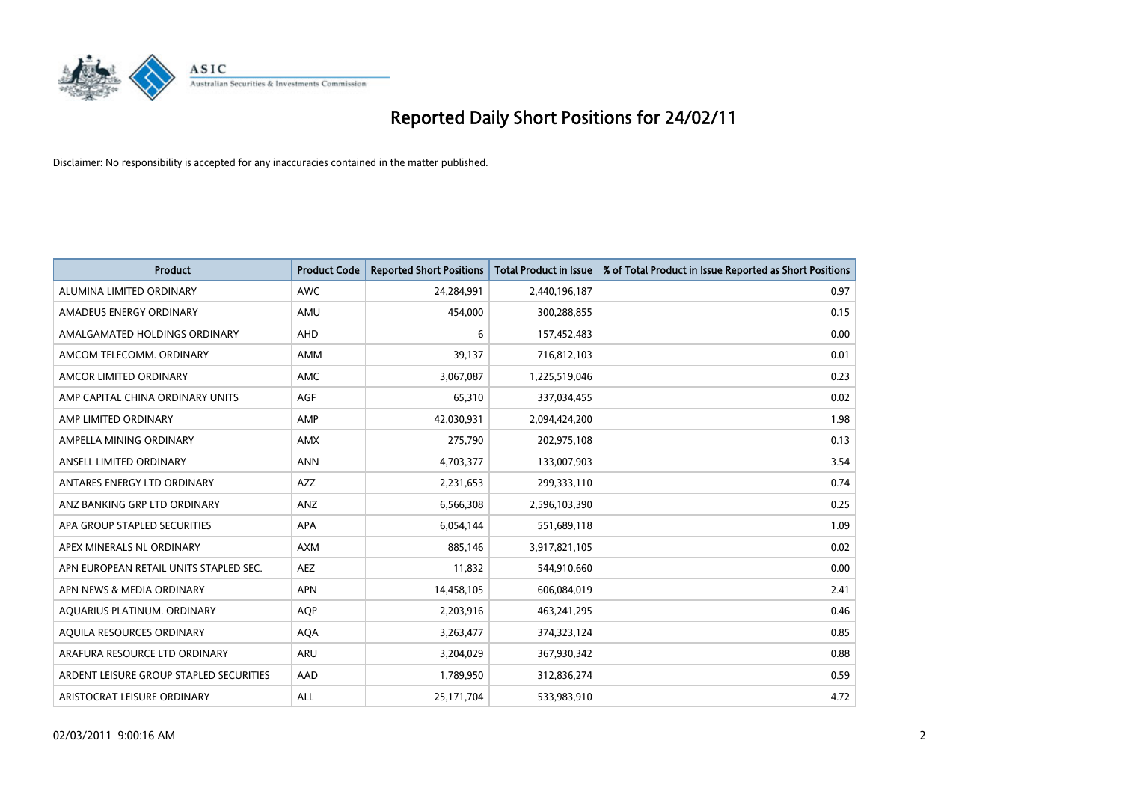

| <b>Product</b>                          | <b>Product Code</b> | <b>Reported Short Positions</b> | <b>Total Product in Issue</b> | % of Total Product in Issue Reported as Short Positions |
|-----------------------------------------|---------------------|---------------------------------|-------------------------------|---------------------------------------------------------|
| ALUMINA LIMITED ORDINARY                | <b>AWC</b>          | 24,284,991                      | 2,440,196,187                 | 0.97                                                    |
| AMADEUS ENERGY ORDINARY                 | AMU                 | 454,000                         | 300,288,855                   | 0.15                                                    |
| AMALGAMATED HOLDINGS ORDINARY           | <b>AHD</b>          | 6                               | 157,452,483                   | 0.00                                                    |
| AMCOM TELECOMM. ORDINARY                | <b>AMM</b>          | 39,137                          | 716,812,103                   | 0.01                                                    |
| AMCOR LIMITED ORDINARY                  | <b>AMC</b>          | 3,067,087                       | 1,225,519,046                 | 0.23                                                    |
| AMP CAPITAL CHINA ORDINARY UNITS        | <b>AGF</b>          | 65,310                          | 337,034,455                   | 0.02                                                    |
| AMP LIMITED ORDINARY                    | AMP                 | 42,030,931                      | 2,094,424,200                 | 1.98                                                    |
| AMPELLA MINING ORDINARY                 | <b>AMX</b>          | 275,790                         | 202,975,108                   | 0.13                                                    |
| ANSELL LIMITED ORDINARY                 | <b>ANN</b>          | 4,703,377                       | 133,007,903                   | 3.54                                                    |
| ANTARES ENERGY LTD ORDINARY             | <b>AZZ</b>          | 2,231,653                       | 299,333,110                   | 0.74                                                    |
| ANZ BANKING GRP LTD ORDINARY            | ANZ                 | 6,566,308                       | 2,596,103,390                 | 0.25                                                    |
| APA GROUP STAPLED SECURITIES            | <b>APA</b>          | 6,054,144                       | 551,689,118                   | 1.09                                                    |
| APEX MINERALS NL ORDINARY               | <b>AXM</b>          | 885,146                         | 3,917,821,105                 | 0.02                                                    |
| APN EUROPEAN RETAIL UNITS STAPLED SEC.  | <b>AEZ</b>          | 11,832                          | 544,910,660                   | 0.00                                                    |
| APN NEWS & MEDIA ORDINARY               | <b>APN</b>          | 14,458,105                      | 606,084,019                   | 2.41                                                    |
| AQUARIUS PLATINUM. ORDINARY             | <b>AOP</b>          | 2,203,916                       | 463,241,295                   | 0.46                                                    |
| AQUILA RESOURCES ORDINARY               | <b>AQA</b>          | 3,263,477                       | 374,323,124                   | 0.85                                                    |
| ARAFURA RESOURCE LTD ORDINARY           | <b>ARU</b>          | 3,204,029                       | 367,930,342                   | 0.88                                                    |
| ARDENT LEISURE GROUP STAPLED SECURITIES | AAD                 | 1,789,950                       | 312,836,274                   | 0.59                                                    |
| ARISTOCRAT LEISURE ORDINARY             | ALL                 | 25.171.704                      | 533,983,910                   | 4.72                                                    |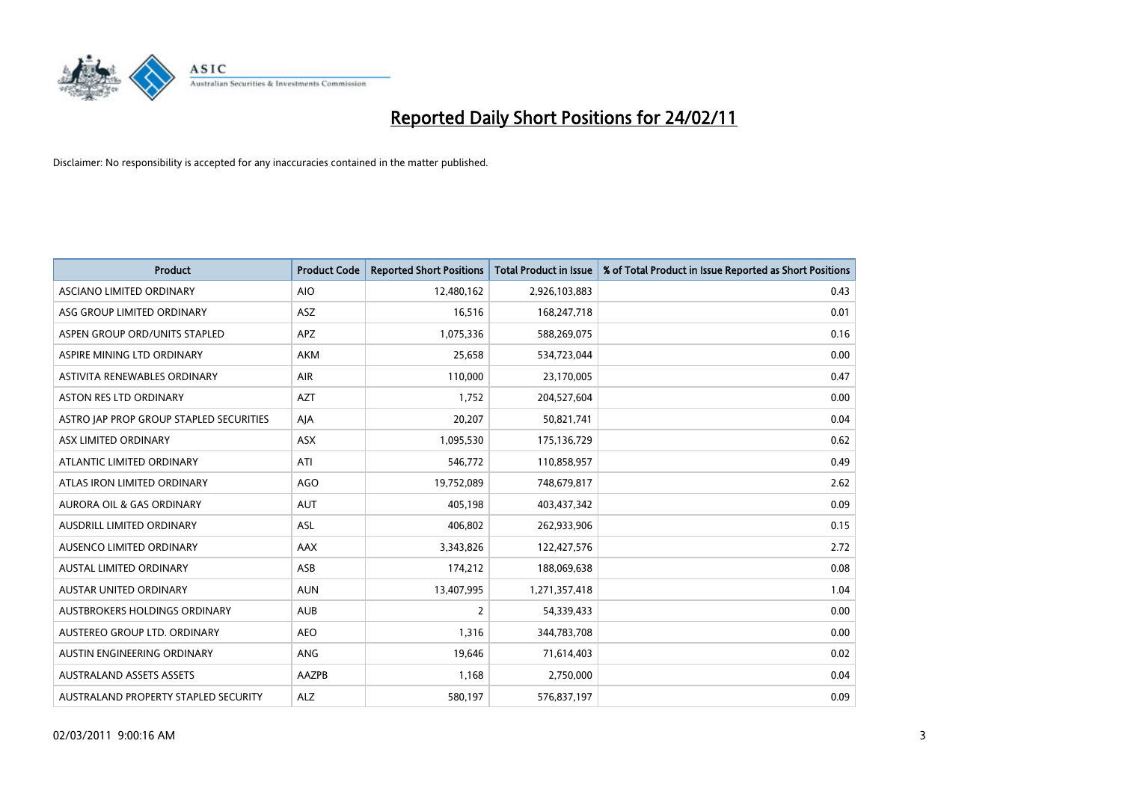

| <b>Product</b>                          | <b>Product Code</b> | <b>Reported Short Positions</b> | Total Product in Issue | % of Total Product in Issue Reported as Short Positions |
|-----------------------------------------|---------------------|---------------------------------|------------------------|---------------------------------------------------------|
| ASCIANO LIMITED ORDINARY                | <b>AIO</b>          | 12,480,162                      | 2,926,103,883          | 0.43                                                    |
| ASG GROUP LIMITED ORDINARY              | ASZ                 | 16,516                          | 168,247,718            | 0.01                                                    |
| ASPEN GROUP ORD/UNITS STAPLED           | <b>APZ</b>          | 1,075,336                       | 588,269,075            | 0.16                                                    |
| ASPIRE MINING LTD ORDINARY              | <b>AKM</b>          | 25,658                          | 534,723,044            | 0.00                                                    |
| ASTIVITA RENEWABLES ORDINARY            | <b>AIR</b>          | 110,000                         | 23,170,005             | 0.47                                                    |
| <b>ASTON RES LTD ORDINARY</b>           | <b>AZT</b>          | 1,752                           | 204,527,604            | 0.00                                                    |
| ASTRO JAP PROP GROUP STAPLED SECURITIES | AJA                 | 20,207                          | 50,821,741             | 0.04                                                    |
| ASX LIMITED ORDINARY                    | ASX                 | 1,095,530                       | 175,136,729            | 0.62                                                    |
| ATLANTIC LIMITED ORDINARY               | ATI                 | 546,772                         | 110,858,957            | 0.49                                                    |
| ATLAS IRON LIMITED ORDINARY             | <b>AGO</b>          | 19,752,089                      | 748,679,817            | 2.62                                                    |
| AURORA OIL & GAS ORDINARY               | <b>AUT</b>          | 405,198                         | 403,437,342            | 0.09                                                    |
| AUSDRILL LIMITED ORDINARY               | ASL                 | 406,802                         | 262,933,906            | 0.15                                                    |
| AUSENCO LIMITED ORDINARY                | <b>AAX</b>          | 3,343,826                       | 122,427,576            | 2.72                                                    |
| <b>AUSTAL LIMITED ORDINARY</b>          | ASB                 | 174,212                         | 188,069,638            | 0.08                                                    |
| <b>AUSTAR UNITED ORDINARY</b>           | <b>AUN</b>          | 13,407,995                      | 1,271,357,418          | 1.04                                                    |
| AUSTBROKERS HOLDINGS ORDINARY           | <b>AUB</b>          | 2                               | 54,339,433             | 0.00                                                    |
| AUSTEREO GROUP LTD. ORDINARY            | <b>AEO</b>          | 1,316                           | 344,783,708            | 0.00                                                    |
| AUSTIN ENGINEERING ORDINARY             | ANG                 | 19,646                          | 71,614,403             | 0.02                                                    |
| <b>AUSTRALAND ASSETS ASSETS</b>         | AAZPB               | 1,168                           | 2,750,000              | 0.04                                                    |
| AUSTRALAND PROPERTY STAPLED SECURITY    | <b>ALZ</b>          | 580,197                         | 576,837,197            | 0.09                                                    |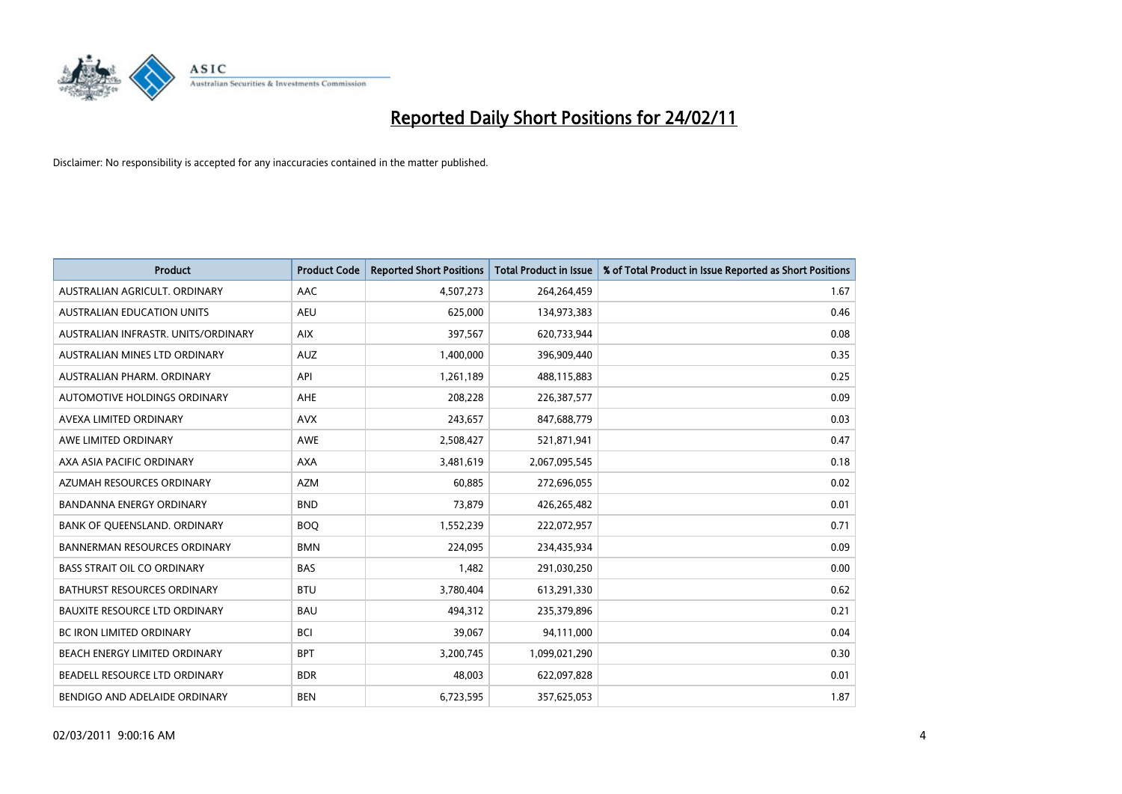

| <b>Product</b>                       | <b>Product Code</b> | <b>Reported Short Positions</b> | Total Product in Issue | % of Total Product in Issue Reported as Short Positions |
|--------------------------------------|---------------------|---------------------------------|------------------------|---------------------------------------------------------|
| AUSTRALIAN AGRICULT, ORDINARY        | AAC                 | 4,507,273                       | 264,264,459            | 1.67                                                    |
| <b>AUSTRALIAN EDUCATION UNITS</b>    | <b>AEU</b>          | 625,000                         | 134,973,383            | 0.46                                                    |
| AUSTRALIAN INFRASTR, UNITS/ORDINARY  | <b>AIX</b>          | 397,567                         | 620,733,944            | 0.08                                                    |
| AUSTRALIAN MINES LTD ORDINARY        | <b>AUZ</b>          | 1,400,000                       | 396,909,440            | 0.35                                                    |
| AUSTRALIAN PHARM, ORDINARY           | API                 | 1,261,189                       | 488,115,883            | 0.25                                                    |
| <b>AUTOMOTIVE HOLDINGS ORDINARY</b>  | <b>AHE</b>          | 208,228                         | 226,387,577            | 0.09                                                    |
| AVEXA LIMITED ORDINARY               | <b>AVX</b>          | 243,657                         | 847,688,779            | 0.03                                                    |
| AWE LIMITED ORDINARY                 | <b>AWE</b>          | 2,508,427                       | 521,871,941            | 0.47                                                    |
| AXA ASIA PACIFIC ORDINARY            | <b>AXA</b>          | 3,481,619                       | 2,067,095,545          | 0.18                                                    |
| AZUMAH RESOURCES ORDINARY            | <b>AZM</b>          | 60,885                          | 272,696,055            | 0.02                                                    |
| <b>BANDANNA ENERGY ORDINARY</b>      | <b>BND</b>          | 73,879                          | 426,265,482            | 0.01                                                    |
| BANK OF QUEENSLAND. ORDINARY         | <b>BOQ</b>          | 1,552,239                       | 222,072,957            | 0.71                                                    |
| <b>BANNERMAN RESOURCES ORDINARY</b>  | <b>BMN</b>          | 224,095                         | 234,435,934            | 0.09                                                    |
| <b>BASS STRAIT OIL CO ORDINARY</b>   | <b>BAS</b>          | 1,482                           | 291,030,250            | 0.00                                                    |
| <b>BATHURST RESOURCES ORDINARY</b>   | <b>BTU</b>          | 3,780,404                       | 613,291,330            | 0.62                                                    |
| <b>BAUXITE RESOURCE LTD ORDINARY</b> | <b>BAU</b>          | 494.312                         | 235,379,896            | 0.21                                                    |
| <b>BC IRON LIMITED ORDINARY</b>      | <b>BCI</b>          | 39,067                          | 94,111,000             | 0.04                                                    |
| BEACH ENERGY LIMITED ORDINARY        | <b>BPT</b>          | 3,200,745                       | 1,099,021,290          | 0.30                                                    |
| BEADELL RESOURCE LTD ORDINARY        | <b>BDR</b>          | 48,003                          | 622,097,828            | 0.01                                                    |
| BENDIGO AND ADELAIDE ORDINARY        | <b>BEN</b>          | 6,723,595                       | 357,625,053            | 1.87                                                    |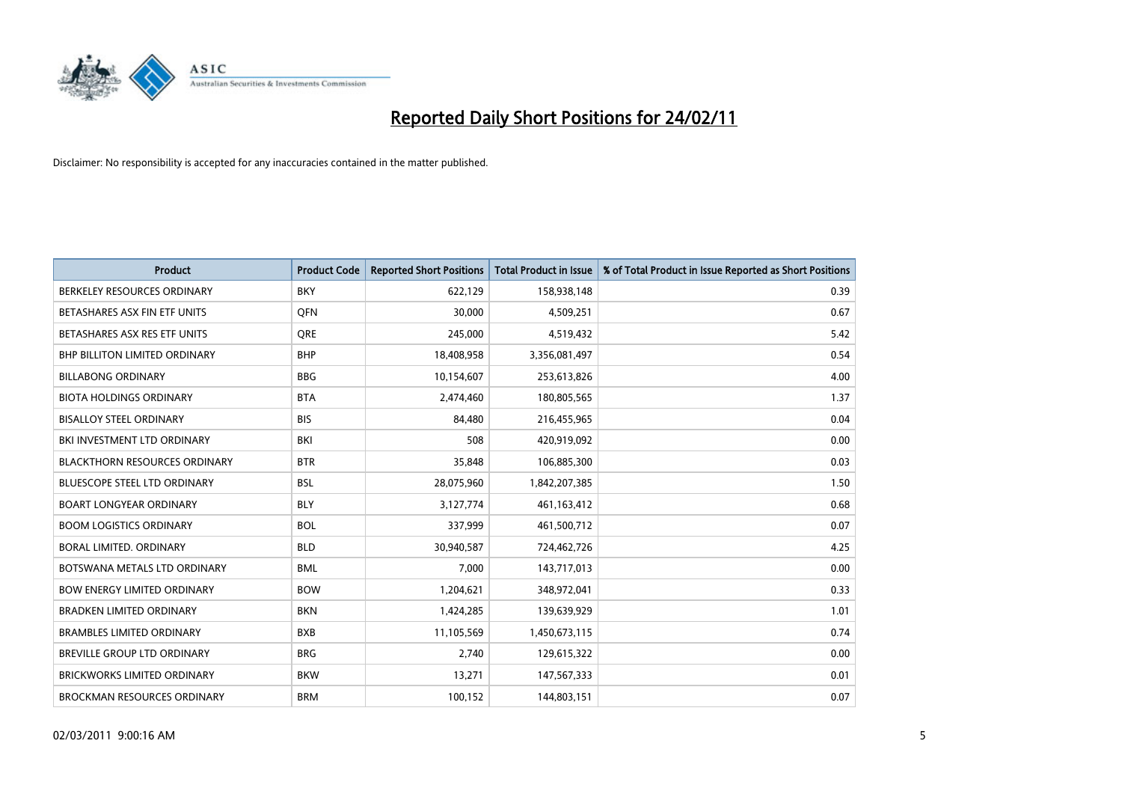

| <b>Product</b>                       | <b>Product Code</b> | <b>Reported Short Positions</b> | <b>Total Product in Issue</b> | % of Total Product in Issue Reported as Short Positions |
|--------------------------------------|---------------------|---------------------------------|-------------------------------|---------------------------------------------------------|
| BERKELEY RESOURCES ORDINARY          | <b>BKY</b>          | 622,129                         | 158,938,148                   | 0.39                                                    |
| BETASHARES ASX FIN ETF UNITS         | <b>OFN</b>          | 30,000                          | 4,509,251                     | 0.67                                                    |
| BETASHARES ASX RES ETF UNITS         | <b>ORE</b>          | 245,000                         | 4,519,432                     | 5.42                                                    |
| BHP BILLITON LIMITED ORDINARY        | <b>BHP</b>          | 18,408,958                      | 3,356,081,497                 | 0.54                                                    |
| <b>BILLABONG ORDINARY</b>            | <b>BBG</b>          | 10,154,607                      | 253,613,826                   | 4.00                                                    |
| <b>BIOTA HOLDINGS ORDINARY</b>       | <b>BTA</b>          | 2,474,460                       | 180,805,565                   | 1.37                                                    |
| <b>BISALLOY STEEL ORDINARY</b>       | <b>BIS</b>          | 84.480                          | 216,455,965                   | 0.04                                                    |
| BKI INVESTMENT LTD ORDINARY          | <b>BKI</b>          | 508                             | 420,919,092                   | 0.00                                                    |
| <b>BLACKTHORN RESOURCES ORDINARY</b> | <b>BTR</b>          | 35,848                          | 106,885,300                   | 0.03                                                    |
| <b>BLUESCOPE STEEL LTD ORDINARY</b>  | <b>BSL</b>          | 28,075,960                      | 1,842,207,385                 | 1.50                                                    |
| <b>BOART LONGYEAR ORDINARY</b>       | <b>BLY</b>          | 3,127,774                       | 461,163,412                   | 0.68                                                    |
| <b>BOOM LOGISTICS ORDINARY</b>       | <b>BOL</b>          | 337,999                         | 461,500,712                   | 0.07                                                    |
| <b>BORAL LIMITED, ORDINARY</b>       | <b>BLD</b>          | 30,940,587                      | 724,462,726                   | 4.25                                                    |
| BOTSWANA METALS LTD ORDINARY         | <b>BML</b>          | 7,000                           | 143,717,013                   | 0.00                                                    |
| <b>BOW ENERGY LIMITED ORDINARY</b>   | <b>BOW</b>          | 1,204,621                       | 348,972,041                   | 0.33                                                    |
| BRADKEN LIMITED ORDINARY             | <b>BKN</b>          | 1,424,285                       | 139,639,929                   | 1.01                                                    |
| <b>BRAMBLES LIMITED ORDINARY</b>     | <b>BXB</b>          | 11,105,569                      | 1,450,673,115                 | 0.74                                                    |
| BREVILLE GROUP LTD ORDINARY          | <b>BRG</b>          | 2,740                           | 129,615,322                   | 0.00                                                    |
| <b>BRICKWORKS LIMITED ORDINARY</b>   | <b>BKW</b>          | 13,271                          | 147,567,333                   | 0.01                                                    |
| <b>BROCKMAN RESOURCES ORDINARY</b>   | <b>BRM</b>          | 100,152                         | 144,803,151                   | 0.07                                                    |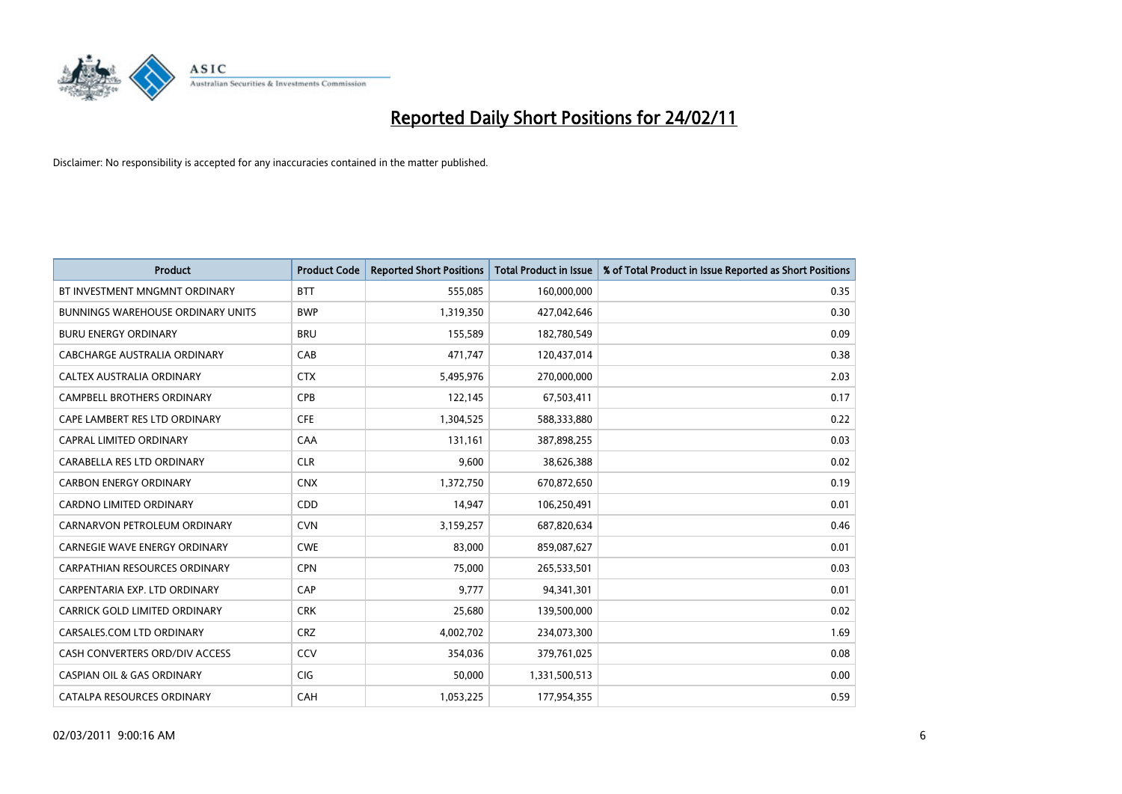

| Product                                  | <b>Product Code</b> | <b>Reported Short Positions</b> | <b>Total Product in Issue</b> | % of Total Product in Issue Reported as Short Positions |
|------------------------------------------|---------------------|---------------------------------|-------------------------------|---------------------------------------------------------|
| BT INVESTMENT MNGMNT ORDINARY            | <b>BTT</b>          | 555,085                         | 160,000,000                   | 0.35                                                    |
| <b>BUNNINGS WAREHOUSE ORDINARY UNITS</b> | <b>BWP</b>          | 1,319,350                       | 427,042,646                   | 0.30                                                    |
| <b>BURU ENERGY ORDINARY</b>              | <b>BRU</b>          | 155,589                         | 182,780,549                   | 0.09                                                    |
| CABCHARGE AUSTRALIA ORDINARY             | CAB                 | 471,747                         | 120,437,014                   | 0.38                                                    |
| CALTEX AUSTRALIA ORDINARY                | <b>CTX</b>          | 5,495,976                       | 270,000,000                   | 2.03                                                    |
| <b>CAMPBELL BROTHERS ORDINARY</b>        | <b>CPB</b>          | 122,145                         | 67,503,411                    | 0.17                                                    |
| CAPE LAMBERT RES LTD ORDINARY            | <b>CFE</b>          | 1,304,525                       | 588,333,880                   | 0.22                                                    |
| CAPRAL LIMITED ORDINARY                  | CAA                 | 131,161                         | 387,898,255                   | 0.03                                                    |
| CARABELLA RES LTD ORDINARY               | <b>CLR</b>          | 9,600                           | 38,626,388                    | 0.02                                                    |
| <b>CARBON ENERGY ORDINARY</b>            | <b>CNX</b>          | 1,372,750                       | 670,872,650                   | 0.19                                                    |
| <b>CARDNO LIMITED ORDINARY</b>           | CDD                 | 14,947                          | 106,250,491                   | 0.01                                                    |
| CARNARVON PETROLEUM ORDINARY             | <b>CVN</b>          | 3,159,257                       | 687,820,634                   | 0.46                                                    |
| <b>CARNEGIE WAVE ENERGY ORDINARY</b>     | <b>CWE</b>          | 83,000                          | 859,087,627                   | 0.01                                                    |
| <b>CARPATHIAN RESOURCES ORDINARY</b>     | <b>CPN</b>          | 75,000                          | 265,533,501                   | 0.03                                                    |
| CARPENTARIA EXP. LTD ORDINARY            | CAP                 | 9,777                           | 94,341,301                    | 0.01                                                    |
| CARRICK GOLD LIMITED ORDINARY            | <b>CRK</b>          | 25,680                          | 139,500,000                   | 0.02                                                    |
| CARSALES.COM LTD ORDINARY                | <b>CRZ</b>          | 4,002,702                       | 234,073,300                   | 1.69                                                    |
| CASH CONVERTERS ORD/DIV ACCESS           | CCV                 | 354,036                         | 379,761,025                   | 0.08                                                    |
| <b>CASPIAN OIL &amp; GAS ORDINARY</b>    | <b>CIG</b>          | 50,000                          | 1,331,500,513                 | 0.00                                                    |
| CATALPA RESOURCES ORDINARY               | CAH                 | 1,053,225                       | 177,954,355                   | 0.59                                                    |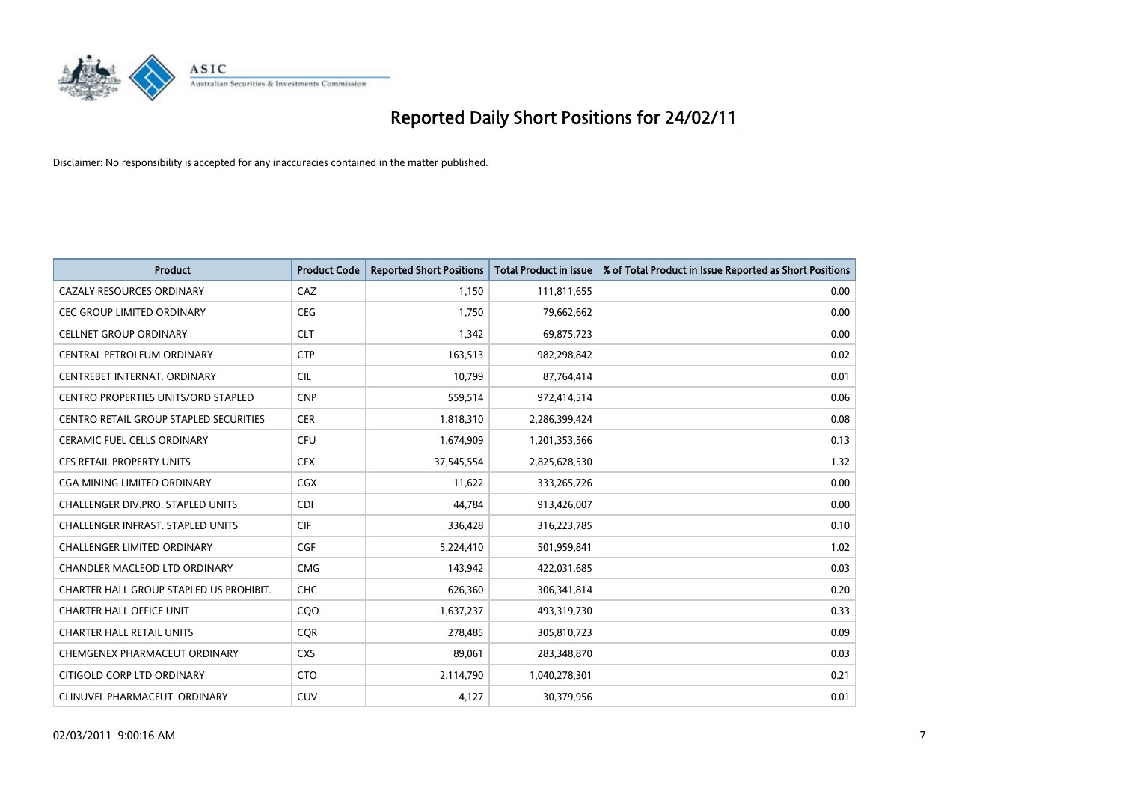

| <b>Product</b>                                | <b>Product Code</b> | <b>Reported Short Positions</b> | Total Product in Issue | % of Total Product in Issue Reported as Short Positions |
|-----------------------------------------------|---------------------|---------------------------------|------------------------|---------------------------------------------------------|
| <b>CAZALY RESOURCES ORDINARY</b>              | CAZ                 | 1,150                           | 111,811,655            | 0.00                                                    |
| CEC GROUP LIMITED ORDINARY                    | <b>CEG</b>          | 1,750                           | 79,662,662             | 0.00                                                    |
| <b>CELLNET GROUP ORDINARY</b>                 | <b>CLT</b>          | 1,342                           | 69,875,723             | 0.00                                                    |
| CENTRAL PETROLEUM ORDINARY                    | <b>CTP</b>          | 163,513                         | 982,298,842            | 0.02                                                    |
| CENTREBET INTERNAT, ORDINARY                  | <b>CIL</b>          | 10.799                          | 87,764,414             | 0.01                                                    |
| <b>CENTRO PROPERTIES UNITS/ORD STAPLED</b>    | <b>CNP</b>          | 559,514                         | 972,414,514            | 0.06                                                    |
| <b>CENTRO RETAIL GROUP STAPLED SECURITIES</b> | <b>CER</b>          | 1,818,310                       | 2,286,399,424          | 0.08                                                    |
| <b>CERAMIC FUEL CELLS ORDINARY</b>            | <b>CFU</b>          | 1,674,909                       | 1,201,353,566          | 0.13                                                    |
| <b>CFS RETAIL PROPERTY UNITS</b>              | <b>CFX</b>          | 37,545,554                      | 2,825,628,530          | 1.32                                                    |
| CGA MINING LIMITED ORDINARY                   | <b>CGX</b>          | 11,622                          | 333,265,726            | 0.00                                                    |
| <b>CHALLENGER DIV.PRO. STAPLED UNITS</b>      | <b>CDI</b>          | 44,784                          | 913,426,007            | 0.00                                                    |
| <b>CHALLENGER INFRAST, STAPLED UNITS</b>      | <b>CIF</b>          | 336,428                         | 316,223,785            | 0.10                                                    |
| <b>CHALLENGER LIMITED ORDINARY</b>            | <b>CGF</b>          | 5,224,410                       | 501,959,841            | 1.02                                                    |
| <b>CHANDLER MACLEOD LTD ORDINARY</b>          | <b>CMG</b>          | 143.942                         | 422,031,685            | 0.03                                                    |
| CHARTER HALL GROUP STAPLED US PROHIBIT.       | <b>CHC</b>          | 626,360                         | 306,341,814            | 0.20                                                    |
| <b>CHARTER HALL OFFICE UNIT</b>               | COO                 | 1,637,237                       | 493,319,730            | 0.33                                                    |
| <b>CHARTER HALL RETAIL UNITS</b>              | <b>CQR</b>          | 278,485                         | 305,810,723            | 0.09                                                    |
| CHEMGENEX PHARMACEUT ORDINARY                 | <b>CXS</b>          | 89,061                          | 283,348,870            | 0.03                                                    |
| CITIGOLD CORP LTD ORDINARY                    | <b>CTO</b>          | 2,114,790                       | 1,040,278,301          | 0.21                                                    |
| CLINUVEL PHARMACEUT, ORDINARY                 | <b>CUV</b>          | 4,127                           | 30,379,956             | 0.01                                                    |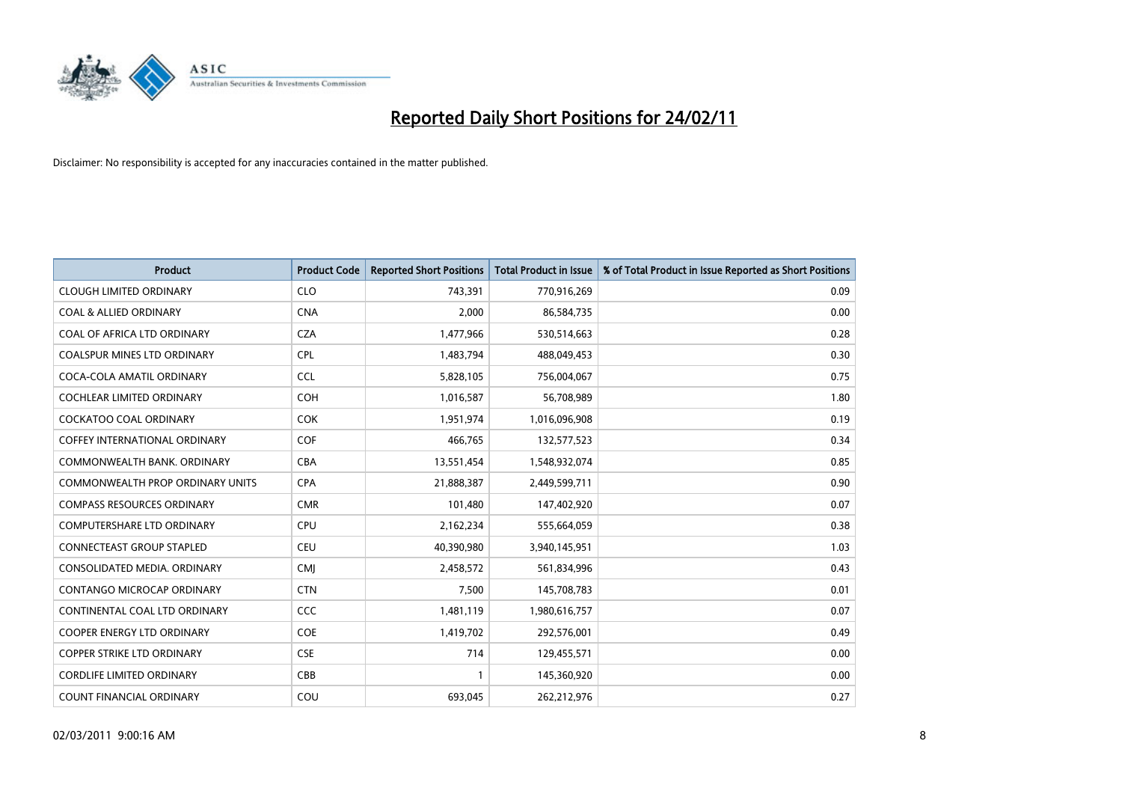

| Product                                 | <b>Product Code</b> | <b>Reported Short Positions</b> | <b>Total Product in Issue</b> | % of Total Product in Issue Reported as Short Positions |
|-----------------------------------------|---------------------|---------------------------------|-------------------------------|---------------------------------------------------------|
| <b>CLOUGH LIMITED ORDINARY</b>          | <b>CLO</b>          | 743,391                         | 770,916,269                   | 0.09                                                    |
| <b>COAL &amp; ALLIED ORDINARY</b>       | <b>CNA</b>          | 2,000                           | 86,584,735                    | 0.00                                                    |
| <b>COAL OF AFRICA LTD ORDINARY</b>      | <b>CZA</b>          | 1,477,966                       | 530,514,663                   | 0.28                                                    |
| COALSPUR MINES LTD ORDINARY             | <b>CPL</b>          | 1,483,794                       | 488,049,453                   | 0.30                                                    |
| COCA-COLA AMATIL ORDINARY               | <b>CCL</b>          | 5,828,105                       | 756,004,067                   | 0.75                                                    |
| <b>COCHLEAR LIMITED ORDINARY</b>        | <b>COH</b>          | 1,016,587                       | 56,708,989                    | 1.80                                                    |
| <b>COCKATOO COAL ORDINARY</b>           | <b>COK</b>          | 1,951,974                       | 1,016,096,908                 | 0.19                                                    |
| <b>COFFEY INTERNATIONAL ORDINARY</b>    | <b>COF</b>          | 466,765                         | 132,577,523                   | 0.34                                                    |
| COMMONWEALTH BANK, ORDINARY             | <b>CBA</b>          | 13,551,454                      | 1,548,932,074                 | 0.85                                                    |
| <b>COMMONWEALTH PROP ORDINARY UNITS</b> | <b>CPA</b>          | 21,888,387                      | 2,449,599,711                 | 0.90                                                    |
| <b>COMPASS RESOURCES ORDINARY</b>       | <b>CMR</b>          | 101,480                         | 147,402,920                   | 0.07                                                    |
| <b>COMPUTERSHARE LTD ORDINARY</b>       | <b>CPU</b>          | 2,162,234                       | 555,664,059                   | 0.38                                                    |
| <b>CONNECTEAST GROUP STAPLED</b>        | <b>CEU</b>          | 40,390,980                      | 3,940,145,951                 | 1.03                                                    |
| CONSOLIDATED MEDIA, ORDINARY            | <b>CMI</b>          | 2,458,572                       | 561,834,996                   | 0.43                                                    |
| <b>CONTANGO MICROCAP ORDINARY</b>       | <b>CTN</b>          | 7,500                           | 145,708,783                   | 0.01                                                    |
| CONTINENTAL COAL LTD ORDINARY           | <b>CCC</b>          | 1,481,119                       | 1,980,616,757                 | 0.07                                                    |
| <b>COOPER ENERGY LTD ORDINARY</b>       | <b>COE</b>          | 1,419,702                       | 292,576,001                   | 0.49                                                    |
| COPPER STRIKE LTD ORDINARY              | <b>CSE</b>          | 714                             | 129,455,571                   | 0.00                                                    |
| <b>CORDLIFE LIMITED ORDINARY</b>        | CBB                 |                                 | 145,360,920                   | 0.00                                                    |
| <b>COUNT FINANCIAL ORDINARY</b>         | COU                 | 693.045                         | 262,212,976                   | 0.27                                                    |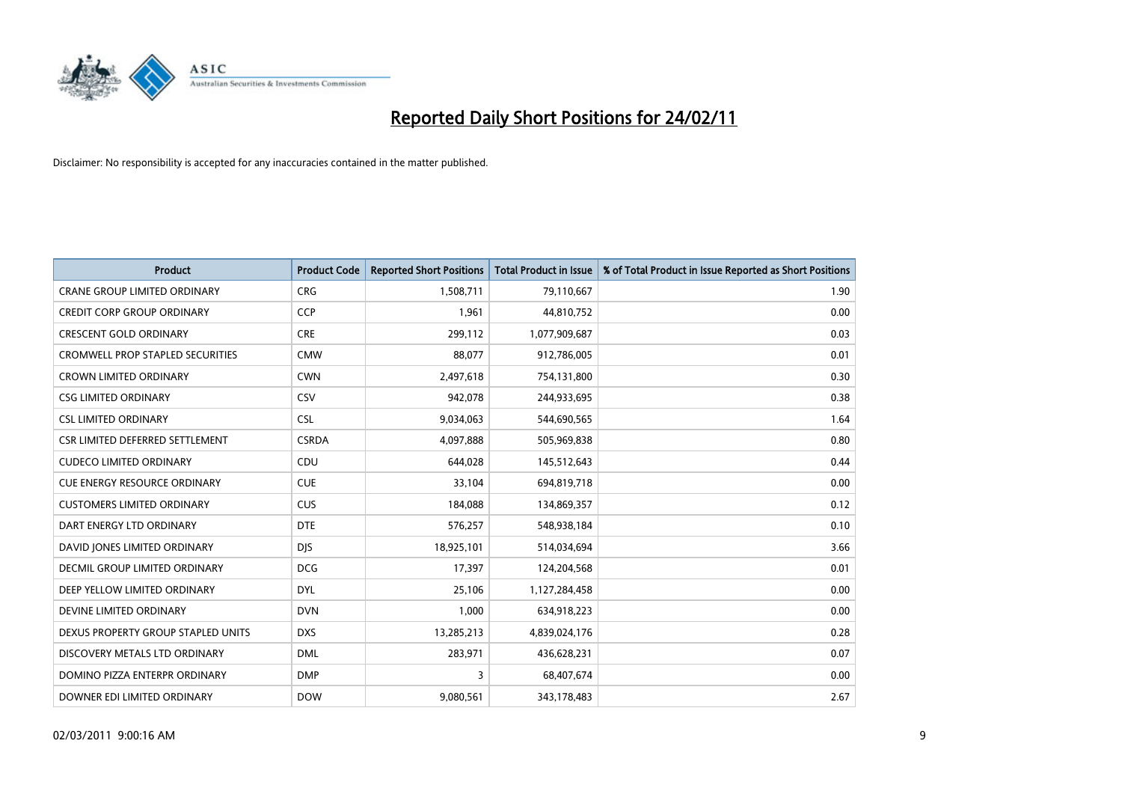

| <b>Product</b>                          | <b>Product Code</b> | <b>Reported Short Positions</b> | <b>Total Product in Issue</b> | % of Total Product in Issue Reported as Short Positions |
|-----------------------------------------|---------------------|---------------------------------|-------------------------------|---------------------------------------------------------|
| <b>CRANE GROUP LIMITED ORDINARY</b>     | <b>CRG</b>          | 1,508,711                       | 79,110,667                    | 1.90                                                    |
| <b>CREDIT CORP GROUP ORDINARY</b>       | <b>CCP</b>          | 1,961                           | 44,810,752                    | 0.00                                                    |
| <b>CRESCENT GOLD ORDINARY</b>           | <b>CRE</b>          | 299,112                         | 1,077,909,687                 | 0.03                                                    |
| <b>CROMWELL PROP STAPLED SECURITIES</b> | <b>CMW</b>          | 88,077                          | 912,786,005                   | 0.01                                                    |
| <b>CROWN LIMITED ORDINARY</b>           | <b>CWN</b>          | 2,497,618                       | 754,131,800                   | 0.30                                                    |
| <b>CSG LIMITED ORDINARY</b>             | CSV                 | 942,078                         | 244,933,695                   | 0.38                                                    |
| <b>CSL LIMITED ORDINARY</b>             | <b>CSL</b>          | 9,034,063                       | 544,690,565                   | 1.64                                                    |
| CSR LIMITED DEFERRED SETTLEMENT         | <b>CSRDA</b>        | 4,097,888                       | 505,969,838                   | 0.80                                                    |
| <b>CUDECO LIMITED ORDINARY</b>          | CDU                 | 644,028                         | 145,512,643                   | 0.44                                                    |
| <b>CUE ENERGY RESOURCE ORDINARY</b>     | <b>CUE</b>          | 33,104                          | 694,819,718                   | 0.00                                                    |
| <b>CUSTOMERS LIMITED ORDINARY</b>       | <b>CUS</b>          | 184,088                         | 134,869,357                   | 0.12                                                    |
| DART ENERGY LTD ORDINARY                | <b>DTE</b>          | 576,257                         | 548,938,184                   | 0.10                                                    |
| DAVID JONES LIMITED ORDINARY            | <b>DJS</b>          | 18,925,101                      | 514,034,694                   | 3.66                                                    |
| DECMIL GROUP LIMITED ORDINARY           | <b>DCG</b>          | 17,397                          | 124,204,568                   | 0.01                                                    |
| DEEP YELLOW LIMITED ORDINARY            | <b>DYL</b>          | 25,106                          | 1,127,284,458                 | 0.00                                                    |
| DEVINE LIMITED ORDINARY                 | <b>DVN</b>          | 1,000                           | 634,918,223                   | 0.00                                                    |
| DEXUS PROPERTY GROUP STAPLED UNITS      | <b>DXS</b>          | 13,285,213                      | 4,839,024,176                 | 0.28                                                    |
| DISCOVERY METALS LTD ORDINARY           | <b>DML</b>          | 283,971                         | 436,628,231                   | 0.07                                                    |
| DOMINO PIZZA ENTERPR ORDINARY           | <b>DMP</b>          | 3                               | 68,407,674                    | 0.00                                                    |
| DOWNER EDI LIMITED ORDINARY             | <b>DOW</b>          | 9,080,561                       | 343,178,483                   | 2.67                                                    |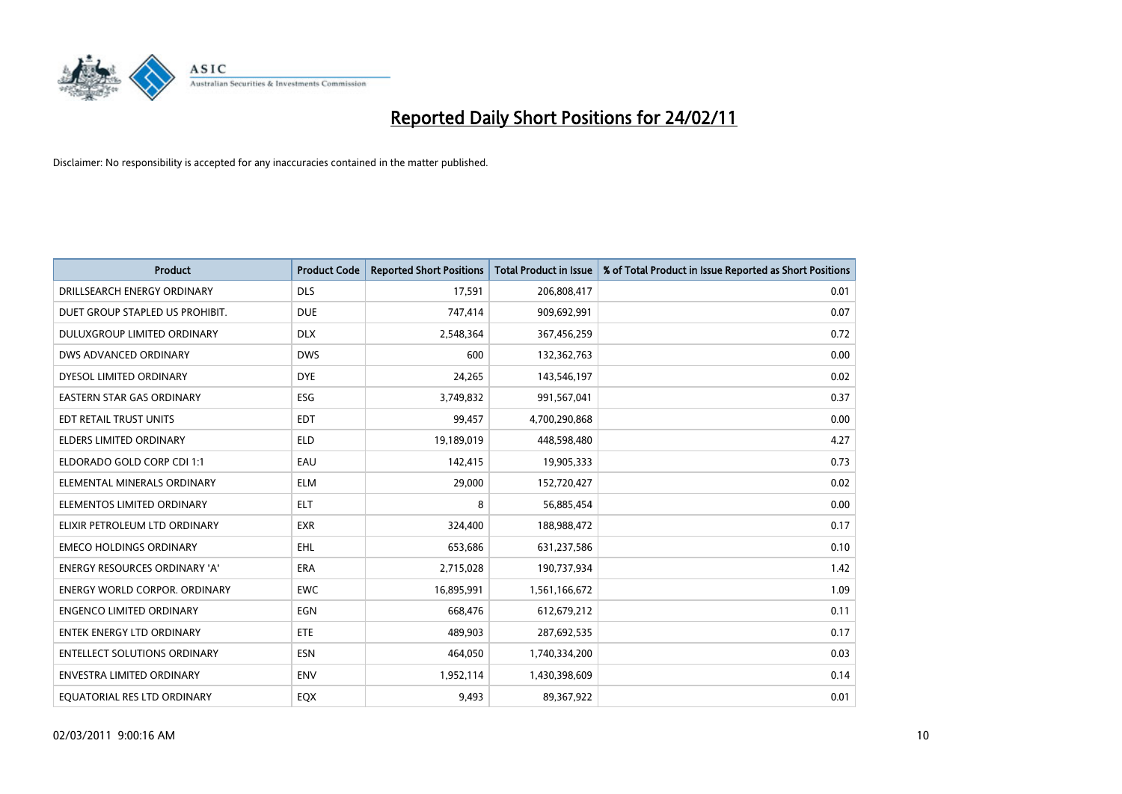

| <b>Product</b>                       | <b>Product Code</b> | <b>Reported Short Positions</b> | <b>Total Product in Issue</b> | % of Total Product in Issue Reported as Short Positions |
|--------------------------------------|---------------------|---------------------------------|-------------------------------|---------------------------------------------------------|
| DRILLSEARCH ENERGY ORDINARY          | <b>DLS</b>          | 17,591                          | 206,808,417                   | 0.01                                                    |
| DUET GROUP STAPLED US PROHIBIT.      | <b>DUE</b>          | 747,414                         | 909,692,991                   | 0.07                                                    |
| DULUXGROUP LIMITED ORDINARY          | <b>DLX</b>          | 2,548,364                       | 367,456,259                   | 0.72                                                    |
| DWS ADVANCED ORDINARY                | <b>DWS</b>          | 600                             | 132,362,763                   | 0.00                                                    |
| DYESOL LIMITED ORDINARY              | <b>DYE</b>          | 24,265                          | 143,546,197                   | 0.02                                                    |
| EASTERN STAR GAS ORDINARY            | ESG                 | 3,749,832                       | 991,567,041                   | 0.37                                                    |
| EDT RETAIL TRUST UNITS               | <b>EDT</b>          | 99,457                          | 4,700,290,868                 | 0.00                                                    |
| <b>ELDERS LIMITED ORDINARY</b>       | <b>ELD</b>          | 19,189,019                      | 448,598,480                   | 4.27                                                    |
| ELDORADO GOLD CORP CDI 1:1           | EAU                 | 142,415                         | 19,905,333                    | 0.73                                                    |
| ELEMENTAL MINERALS ORDINARY          | <b>ELM</b>          | 29,000                          | 152,720,427                   | 0.02                                                    |
| ELEMENTOS LIMITED ORDINARY           | <b>ELT</b>          | 8                               | 56,885,454                    | 0.00                                                    |
| ELIXIR PETROLEUM LTD ORDINARY        | <b>EXR</b>          | 324,400                         | 188,988,472                   | 0.17                                                    |
| <b>EMECO HOLDINGS ORDINARY</b>       | <b>EHL</b>          | 653,686                         | 631,237,586                   | 0.10                                                    |
| <b>ENERGY RESOURCES ORDINARY 'A'</b> | ERA                 | 2,715,028                       | 190,737,934                   | 1.42                                                    |
| <b>ENERGY WORLD CORPOR, ORDINARY</b> | <b>EWC</b>          | 16,895,991                      | 1,561,166,672                 | 1.09                                                    |
| <b>ENGENCO LIMITED ORDINARY</b>      | EGN                 | 668,476                         | 612,679,212                   | 0.11                                                    |
| <b>ENTEK ENERGY LTD ORDINARY</b>     | <b>ETE</b>          | 489,903                         | 287,692,535                   | 0.17                                                    |
| <b>ENTELLECT SOLUTIONS ORDINARY</b>  | <b>ESN</b>          | 464,050                         | 1,740,334,200                 | 0.03                                                    |
| <b>ENVESTRA LIMITED ORDINARY</b>     | <b>ENV</b>          | 1,952,114                       | 1,430,398,609                 | 0.14                                                    |
| EQUATORIAL RES LTD ORDINARY          | EQX                 | 9,493                           | 89,367,922                    | 0.01                                                    |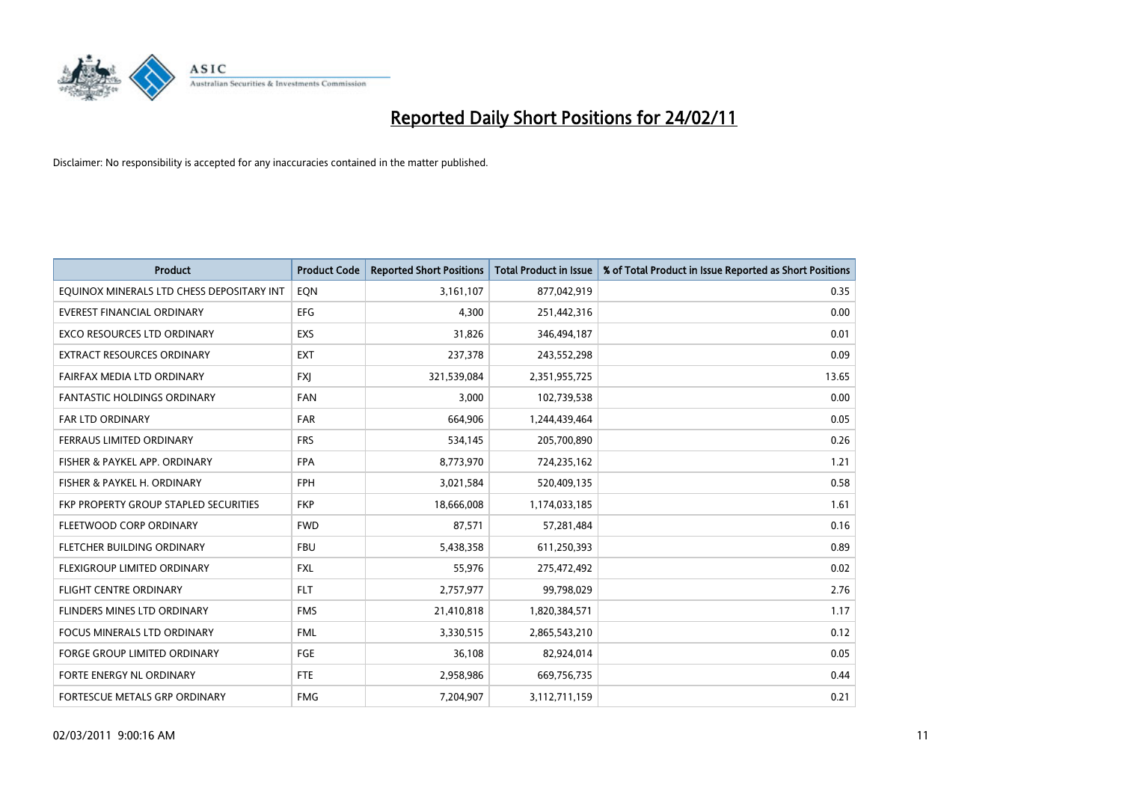

| Product                                   | <b>Product Code</b> | <b>Reported Short Positions</b> | Total Product in Issue | % of Total Product in Issue Reported as Short Positions |
|-------------------------------------------|---------------------|---------------------------------|------------------------|---------------------------------------------------------|
| EQUINOX MINERALS LTD CHESS DEPOSITARY INT | EQN                 | 3,161,107                       | 877,042,919            | 0.35                                                    |
| <b>EVEREST FINANCIAL ORDINARY</b>         | <b>EFG</b>          | 4,300                           | 251,442,316            | 0.00                                                    |
| <b>EXCO RESOURCES LTD ORDINARY</b>        | EXS                 | 31,826                          | 346,494,187            | 0.01                                                    |
| EXTRACT RESOURCES ORDINARY                | <b>EXT</b>          | 237,378                         | 243,552,298            | 0.09                                                    |
| FAIRFAX MEDIA LTD ORDINARY                | <b>FXI</b>          | 321,539,084                     | 2,351,955,725          | 13.65                                                   |
| <b>FANTASTIC HOLDINGS ORDINARY</b>        | <b>FAN</b>          | 3,000                           | 102,739,538            | 0.00                                                    |
| <b>FAR LTD ORDINARY</b>                   | <b>FAR</b>          | 664,906                         | 1,244,439,464          | 0.05                                                    |
| FERRAUS LIMITED ORDINARY                  | <b>FRS</b>          | 534,145                         | 205,700,890            | 0.26                                                    |
| FISHER & PAYKEL APP. ORDINARY             | <b>FPA</b>          | 8,773,970                       | 724,235,162            | 1.21                                                    |
| FISHER & PAYKEL H. ORDINARY               | <b>FPH</b>          | 3,021,584                       | 520,409,135            | 0.58                                                    |
| FKP PROPERTY GROUP STAPLED SECURITIES     | <b>FKP</b>          | 18,666,008                      | 1,174,033,185          | 1.61                                                    |
| FLEETWOOD CORP ORDINARY                   | <b>FWD</b>          | 87,571                          | 57,281,484             | 0.16                                                    |
| FLETCHER BUILDING ORDINARY                | <b>FBU</b>          | 5,438,358                       | 611,250,393            | 0.89                                                    |
| FLEXIGROUP LIMITED ORDINARY               | <b>FXL</b>          | 55,976                          | 275,472,492            | 0.02                                                    |
| <b>FLIGHT CENTRE ORDINARY</b>             | <b>FLT</b>          | 2,757,977                       | 99,798,029             | 2.76                                                    |
| FLINDERS MINES LTD ORDINARY               | <b>FMS</b>          | 21,410,818                      | 1,820,384,571          | 1.17                                                    |
| <b>FOCUS MINERALS LTD ORDINARY</b>        | <b>FML</b>          | 3,330,515                       | 2,865,543,210          | 0.12                                                    |
| FORGE GROUP LIMITED ORDINARY              | FGE                 | 36,108                          | 82,924,014             | 0.05                                                    |
| FORTE ENERGY NL ORDINARY                  | <b>FTE</b>          | 2,958,986                       | 669,756,735            | 0.44                                                    |
| FORTESCUE METALS GRP ORDINARY             | <b>FMG</b>          | 7,204,907                       | 3,112,711,159          | 0.21                                                    |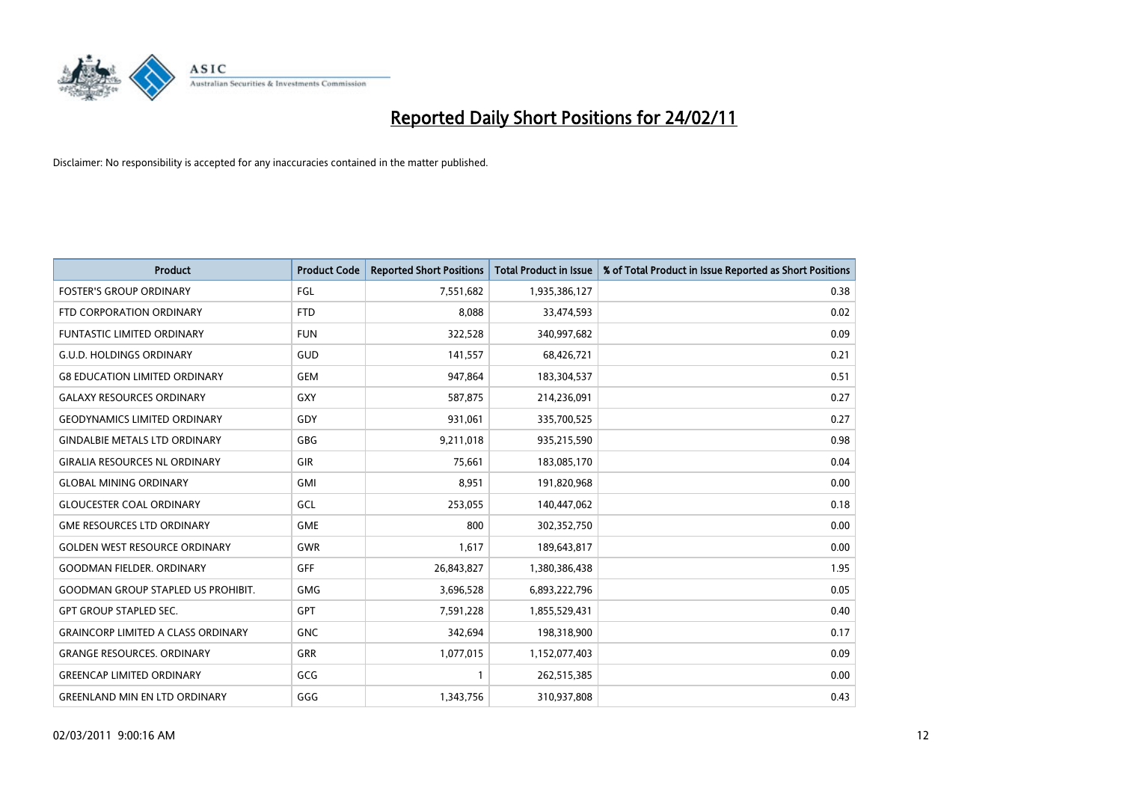

| <b>Product</b>                            | <b>Product Code</b> | <b>Reported Short Positions</b> | <b>Total Product in Issue</b> | % of Total Product in Issue Reported as Short Positions |
|-------------------------------------------|---------------------|---------------------------------|-------------------------------|---------------------------------------------------------|
| <b>FOSTER'S GROUP ORDINARY</b>            | <b>FGL</b>          | 7,551,682                       | 1,935,386,127                 | 0.38                                                    |
| FTD CORPORATION ORDINARY                  | <b>FTD</b>          | 8.088                           | 33,474,593                    | 0.02                                                    |
| <b>FUNTASTIC LIMITED ORDINARY</b>         | <b>FUN</b>          | 322,528                         | 340,997,682                   | 0.09                                                    |
| <b>G.U.D. HOLDINGS ORDINARY</b>           | GUD                 | 141,557                         | 68,426,721                    | 0.21                                                    |
| <b>G8 EDUCATION LIMITED ORDINARY</b>      | <b>GEM</b>          | 947,864                         | 183,304,537                   | 0.51                                                    |
| <b>GALAXY RESOURCES ORDINARY</b>          | <b>GXY</b>          | 587,875                         | 214,236,091                   | 0.27                                                    |
| <b>GEODYNAMICS LIMITED ORDINARY</b>       | GDY                 | 931,061                         | 335,700,525                   | 0.27                                                    |
| <b>GINDALBIE METALS LTD ORDINARY</b>      | <b>GBG</b>          | 9,211,018                       | 935,215,590                   | 0.98                                                    |
| <b>GIRALIA RESOURCES NL ORDINARY</b>      | <b>GIR</b>          | 75,661                          | 183,085,170                   | 0.04                                                    |
| <b>GLOBAL MINING ORDINARY</b>             | <b>GMI</b>          | 8.951                           | 191,820,968                   | 0.00                                                    |
| <b>GLOUCESTER COAL ORDINARY</b>           | <b>GCL</b>          | 253,055                         | 140,447,062                   | 0.18                                                    |
| <b>GME RESOURCES LTD ORDINARY</b>         | <b>GME</b>          | 800                             | 302,352,750                   | 0.00                                                    |
| <b>GOLDEN WEST RESOURCE ORDINARY</b>      | <b>GWR</b>          | 1,617                           | 189,643,817                   | 0.00                                                    |
| <b>GOODMAN FIELDER, ORDINARY</b>          | GFF                 | 26,843,827                      | 1,380,386,438                 | 1.95                                                    |
| <b>GOODMAN GROUP STAPLED US PROHIBIT.</b> | <b>GMG</b>          | 3,696,528                       | 6,893,222,796                 | 0.05                                                    |
| <b>GPT GROUP STAPLED SEC.</b>             | GPT                 | 7,591,228                       | 1,855,529,431                 | 0.40                                                    |
| <b>GRAINCORP LIMITED A CLASS ORDINARY</b> | <b>GNC</b>          | 342,694                         | 198,318,900                   | 0.17                                                    |
| <b>GRANGE RESOURCES. ORDINARY</b>         | <b>GRR</b>          | 1,077,015                       | 1,152,077,403                 | 0.09                                                    |
| <b>GREENCAP LIMITED ORDINARY</b>          | GCG                 |                                 | 262,515,385                   | 0.00                                                    |
| <b>GREENLAND MIN EN LTD ORDINARY</b>      | GGG                 | 1,343,756                       | 310,937,808                   | 0.43                                                    |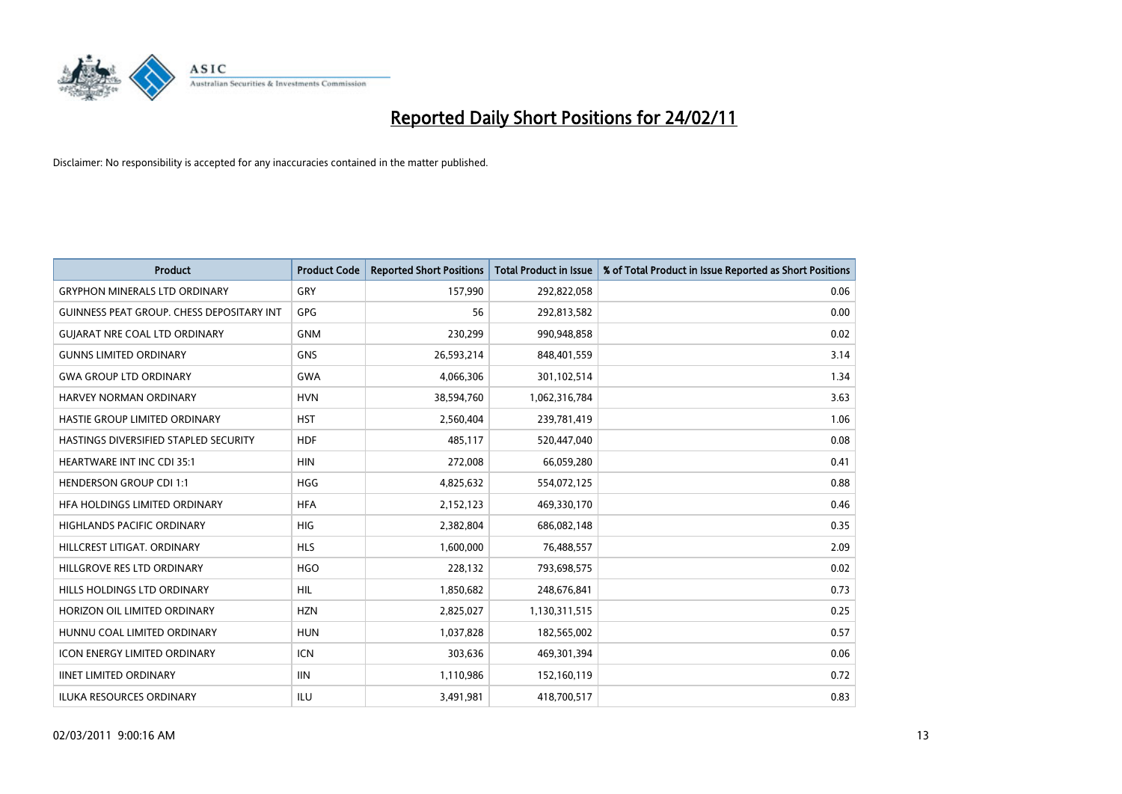

| <b>Product</b>                            | <b>Product Code</b> | <b>Reported Short Positions</b> | <b>Total Product in Issue</b> | % of Total Product in Issue Reported as Short Positions |
|-------------------------------------------|---------------------|---------------------------------|-------------------------------|---------------------------------------------------------|
| <b>GRYPHON MINERALS LTD ORDINARY</b>      | GRY                 | 157,990                         | 292,822,058                   | 0.06                                                    |
| GUINNESS PEAT GROUP. CHESS DEPOSITARY INT | <b>GPG</b>          | 56                              | 292,813,582                   | 0.00                                                    |
| <b>GUIARAT NRE COAL LTD ORDINARY</b>      | <b>GNM</b>          | 230,299                         | 990,948,858                   | 0.02                                                    |
| <b>GUNNS LIMITED ORDINARY</b>             | <b>GNS</b>          | 26,593,214                      | 848,401,559                   | 3.14                                                    |
| <b>GWA GROUP LTD ORDINARY</b>             | <b>GWA</b>          | 4,066,306                       | 301,102,514                   | 1.34                                                    |
| <b>HARVEY NORMAN ORDINARY</b>             | <b>HVN</b>          | 38,594,760                      | 1,062,316,784                 | 3.63                                                    |
| <b>HASTIE GROUP LIMITED ORDINARY</b>      | <b>HST</b>          | 2,560,404                       | 239,781,419                   | 1.06                                                    |
| HASTINGS DIVERSIFIED STAPLED SECURITY     | <b>HDF</b>          | 485,117                         | 520,447,040                   | 0.08                                                    |
| HEARTWARE INT INC CDI 35:1                | <b>HIN</b>          | 272,008                         | 66,059,280                    | 0.41                                                    |
| <b>HENDERSON GROUP CDI 1:1</b>            | <b>HGG</b>          | 4,825,632                       | 554,072,125                   | 0.88                                                    |
| HFA HOLDINGS LIMITED ORDINARY             | <b>HFA</b>          | 2,152,123                       | 469,330,170                   | 0.46                                                    |
| HIGHLANDS PACIFIC ORDINARY                | <b>HIG</b>          | 2,382,804                       | 686,082,148                   | 0.35                                                    |
| HILLCREST LITIGAT, ORDINARY               | <b>HLS</b>          | 1,600,000                       | 76,488,557                    | 2.09                                                    |
| HILLGROVE RES LTD ORDINARY                | <b>HGO</b>          | 228,132                         | 793,698,575                   | 0.02                                                    |
| HILLS HOLDINGS LTD ORDINARY               | <b>HIL</b>          | 1,850,682                       | 248,676,841                   | 0.73                                                    |
| HORIZON OIL LIMITED ORDINARY              | <b>HZN</b>          | 2,825,027                       | 1,130,311,515                 | 0.25                                                    |
| HUNNU COAL LIMITED ORDINARY               | <b>HUN</b>          | 1,037,828                       | 182,565,002                   | 0.57                                                    |
| ICON ENERGY LIMITED ORDINARY              | <b>ICN</b>          | 303,636                         | 469,301,394                   | 0.06                                                    |
| <b>IINET LIMITED ORDINARY</b>             | <b>IIN</b>          | 1,110,986                       | 152,160,119                   | 0.72                                                    |
| ILUKA RESOURCES ORDINARY                  | ILU                 | 3,491,981                       | 418,700,517                   | 0.83                                                    |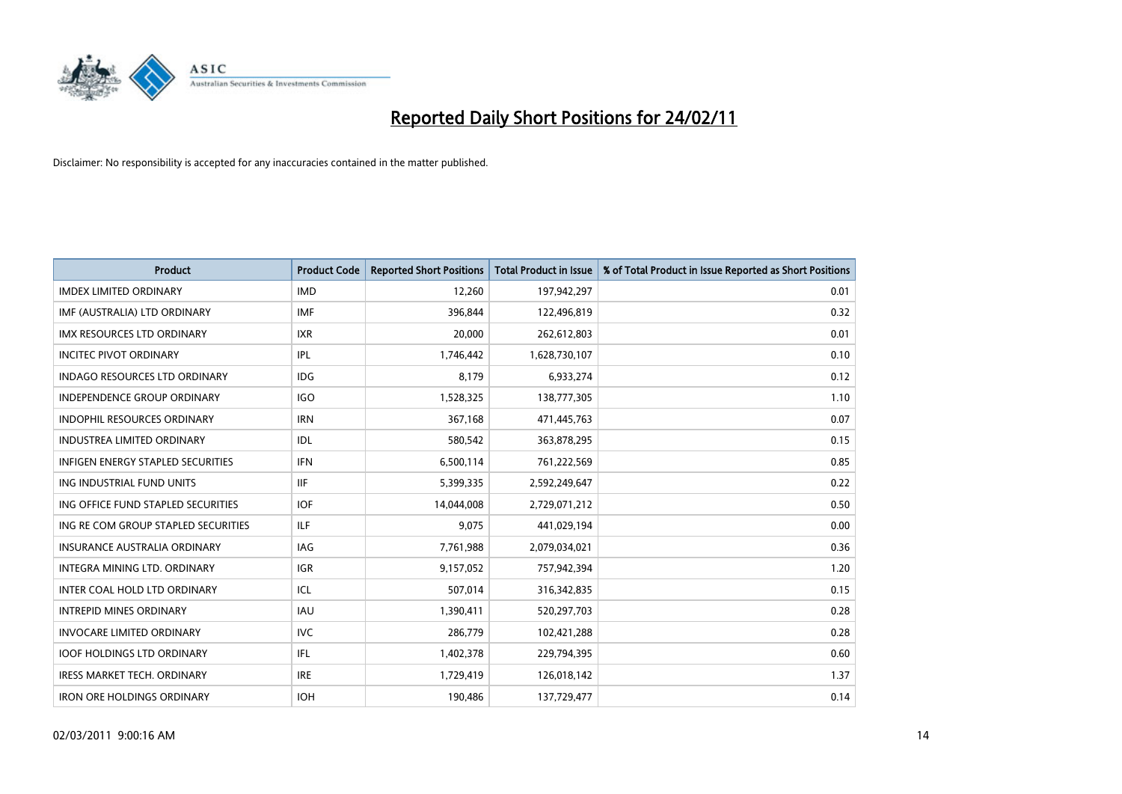

| <b>Product</b>                       | <b>Product Code</b> | <b>Reported Short Positions</b> | <b>Total Product in Issue</b> | % of Total Product in Issue Reported as Short Positions |
|--------------------------------------|---------------------|---------------------------------|-------------------------------|---------------------------------------------------------|
| <b>IMDEX LIMITED ORDINARY</b>        | <b>IMD</b>          | 12,260                          | 197,942,297                   | 0.01                                                    |
| IMF (AUSTRALIA) LTD ORDINARY         | <b>IMF</b>          | 396,844                         | 122,496,819                   | 0.32                                                    |
| <b>IMX RESOURCES LTD ORDINARY</b>    | <b>IXR</b>          | 20,000                          | 262,612,803                   | 0.01                                                    |
| <b>INCITEC PIVOT ORDINARY</b>        | <b>IPL</b>          | 1,746,442                       | 1,628,730,107                 | 0.10                                                    |
| <b>INDAGO RESOURCES LTD ORDINARY</b> | IDG                 | 8,179                           | 6,933,274                     | 0.12                                                    |
| <b>INDEPENDENCE GROUP ORDINARY</b>   | <b>IGO</b>          | 1,528,325                       | 138,777,305                   | 1.10                                                    |
| <b>INDOPHIL RESOURCES ORDINARY</b>   | <b>IRN</b>          | 367,168                         | 471,445,763                   | 0.07                                                    |
| <b>INDUSTREA LIMITED ORDINARY</b>    | IDL                 | 580,542                         | 363,878,295                   | 0.15                                                    |
| INFIGEN ENERGY STAPLED SECURITIES    | <b>IFN</b>          | 6,500,114                       | 761,222,569                   | 0.85                                                    |
| ING INDUSTRIAL FUND UNITS            | <b>IIF</b>          | 5,399,335                       | 2,592,249,647                 | 0.22                                                    |
| ING OFFICE FUND STAPLED SECURITIES   | <b>IOF</b>          | 14,044,008                      | 2,729,071,212                 | 0.50                                                    |
| ING RE COM GROUP STAPLED SECURITIES  | <b>ILF</b>          | 9.075                           | 441,029,194                   | 0.00                                                    |
| <b>INSURANCE AUSTRALIA ORDINARY</b>  | IAG                 | 7,761,988                       | 2,079,034,021                 | 0.36                                                    |
| INTEGRA MINING LTD, ORDINARY         | <b>IGR</b>          | 9,157,052                       | 757,942,394                   | 1.20                                                    |
| INTER COAL HOLD LTD ORDINARY         | ICL                 | 507,014                         | 316,342,835                   | 0.15                                                    |
| <b>INTREPID MINES ORDINARY</b>       | <b>IAU</b>          | 1,390,411                       | 520,297,703                   | 0.28                                                    |
| <b>INVOCARE LIMITED ORDINARY</b>     | <b>IVC</b>          | 286,779                         | 102,421,288                   | 0.28                                                    |
| <b>IOOF HOLDINGS LTD ORDINARY</b>    | <b>IFL</b>          | 1,402,378                       | 229,794,395                   | 0.60                                                    |
| <b>IRESS MARKET TECH. ORDINARY</b>   | <b>IRE</b>          | 1,729,419                       | 126,018,142                   | 1.37                                                    |
| <b>IRON ORE HOLDINGS ORDINARY</b>    | <b>IOH</b>          | 190,486                         | 137,729,477                   | 0.14                                                    |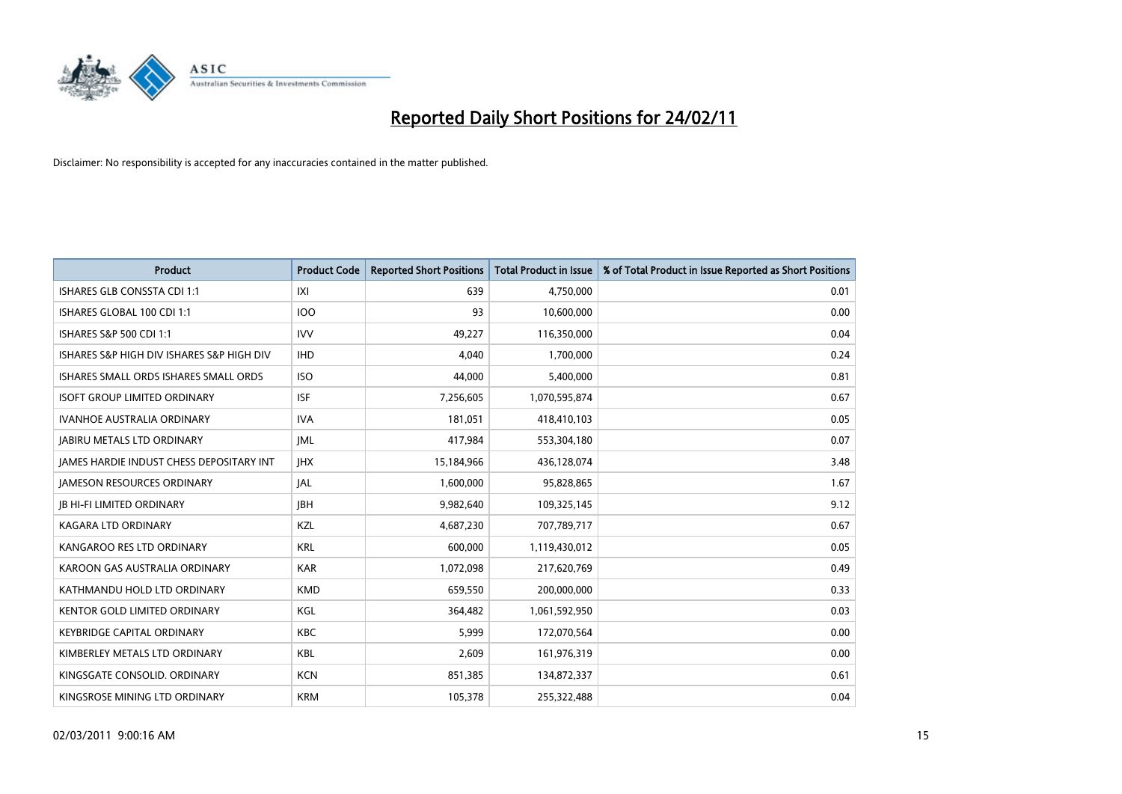

| <b>Product</b>                            | <b>Product Code</b> | <b>Reported Short Positions</b> | Total Product in Issue | % of Total Product in Issue Reported as Short Positions |
|-------------------------------------------|---------------------|---------------------------------|------------------------|---------------------------------------------------------|
| ISHARES GLB CONSSTA CDI 1:1               | X                   | 639                             | 4,750,000              | 0.01                                                    |
| ISHARES GLOBAL 100 CDI 1:1                | <b>IOO</b>          | 93                              | 10,600,000             | 0.00                                                    |
| ISHARES S&P 500 CDI 1:1                   | <b>IVV</b>          | 49,227                          | 116,350,000            | 0.04                                                    |
| ISHARES S&P HIGH DIV ISHARES S&P HIGH DIV | <b>IHD</b>          | 4,040                           | 1,700,000              | 0.24                                                    |
| ISHARES SMALL ORDS ISHARES SMALL ORDS     | <b>ISO</b>          | 44.000                          | 5,400,000              | 0.81                                                    |
| <b>ISOFT GROUP LIMITED ORDINARY</b>       | <b>ISF</b>          | 7,256,605                       | 1,070,595,874          | 0.67                                                    |
| <b>IVANHOE AUSTRALIA ORDINARY</b>         | <b>IVA</b>          | 181,051                         | 418.410.103            | 0.05                                                    |
| <b>JABIRU METALS LTD ORDINARY</b>         | <b>JML</b>          | 417,984                         | 553,304,180            | 0.07                                                    |
| JAMES HARDIE INDUST CHESS DEPOSITARY INT  | <b>JHX</b>          | 15,184,966                      | 436,128,074            | 3.48                                                    |
| <b>IAMESON RESOURCES ORDINARY</b>         | <b>JAL</b>          | 1,600,000                       | 95,828,865             | 1.67                                                    |
| <b>JB HI-FI LIMITED ORDINARY</b>          | <b>IBH</b>          | 9,982,640                       | 109,325,145            | 9.12                                                    |
| <b>KAGARA LTD ORDINARY</b>                | KZL                 | 4,687,230                       | 707,789,717            | 0.67                                                    |
| KANGAROO RES LTD ORDINARY                 | <b>KRL</b>          | 600.000                         | 1,119,430,012          | 0.05                                                    |
| KAROON GAS AUSTRALIA ORDINARY             | <b>KAR</b>          | 1,072,098                       | 217,620,769            | 0.49                                                    |
| KATHMANDU HOLD LTD ORDINARY               | <b>KMD</b>          | 659,550                         | 200,000,000            | 0.33                                                    |
| <b>KENTOR GOLD LIMITED ORDINARY</b>       | KGL                 | 364,482                         | 1,061,592,950          | 0.03                                                    |
| <b>KEYBRIDGE CAPITAL ORDINARY</b>         | <b>KBC</b>          | 5,999                           | 172,070,564            | 0.00                                                    |
| KIMBERLEY METALS LTD ORDINARY             | KBL                 | 2,609                           | 161,976,319            | 0.00                                                    |
| KINGSGATE CONSOLID. ORDINARY              | <b>KCN</b>          | 851,385                         | 134,872,337            | 0.61                                                    |
| KINGSROSE MINING LTD ORDINARY             | <b>KRM</b>          | 105,378                         | 255,322,488            | 0.04                                                    |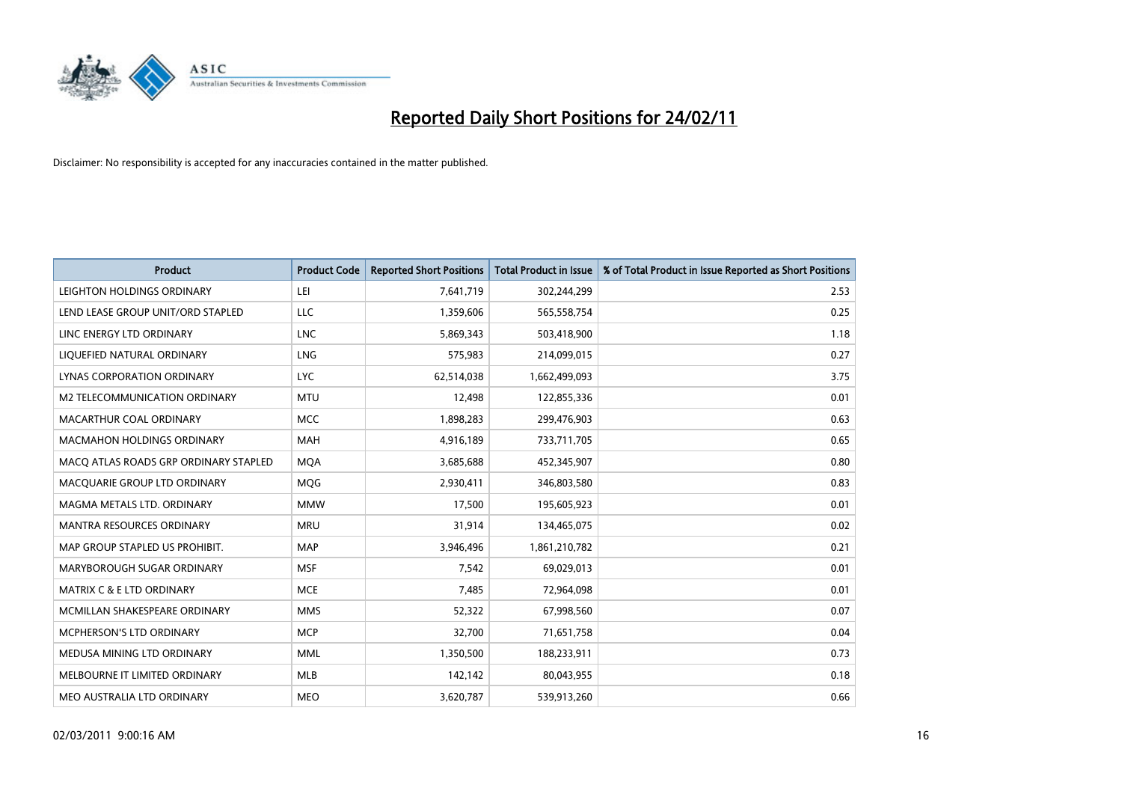

| <b>Product</b>                        | <b>Product Code</b> | <b>Reported Short Positions</b> | Total Product in Issue | % of Total Product in Issue Reported as Short Positions |
|---------------------------------------|---------------------|---------------------------------|------------------------|---------------------------------------------------------|
| LEIGHTON HOLDINGS ORDINARY            | LEI                 | 7,641,719                       | 302,244,299            | 2.53                                                    |
| LEND LEASE GROUP UNIT/ORD STAPLED     | LLC                 | 1,359,606                       | 565,558,754            | 0.25                                                    |
| LINC ENERGY LTD ORDINARY              | <b>LNC</b>          | 5,869,343                       | 503,418,900            | 1.18                                                    |
| LIQUEFIED NATURAL ORDINARY            | <b>LNG</b>          | 575,983                         | 214,099,015            | 0.27                                                    |
| <b>LYNAS CORPORATION ORDINARY</b>     | <b>LYC</b>          | 62,514,038                      | 1,662,499,093          | 3.75                                                    |
| M2 TELECOMMUNICATION ORDINARY         | <b>MTU</b>          | 12,498                          | 122,855,336            | 0.01                                                    |
| MACARTHUR COAL ORDINARY               | <b>MCC</b>          | 1,898,283                       | 299,476,903            | 0.63                                                    |
| <b>MACMAHON HOLDINGS ORDINARY</b>     | <b>MAH</b>          | 4,916,189                       | 733,711,705            | 0.65                                                    |
| MACO ATLAS ROADS GRP ORDINARY STAPLED | <b>MQA</b>          | 3,685,688                       | 452,345,907            | 0.80                                                    |
| MACOUARIE GROUP LTD ORDINARY          | MQG                 | 2,930,411                       | 346,803,580            | 0.83                                                    |
| MAGMA METALS LTD. ORDINARY            | <b>MMW</b>          | 17,500                          | 195,605,923            | 0.01                                                    |
| MANTRA RESOURCES ORDINARY             | <b>MRU</b>          | 31,914                          | 134,465,075            | 0.02                                                    |
| MAP GROUP STAPLED US PROHIBIT.        | <b>MAP</b>          | 3,946,496                       | 1,861,210,782          | 0.21                                                    |
| MARYBOROUGH SUGAR ORDINARY            | <b>MSF</b>          | 7,542                           | 69,029,013             | 0.01                                                    |
| MATRIX C & E LTD ORDINARY             | <b>MCE</b>          | 7,485                           | 72,964,098             | 0.01                                                    |
| MCMILLAN SHAKESPEARE ORDINARY         | <b>MMS</b>          | 52,322                          | 67,998,560             | 0.07                                                    |
| <b>MCPHERSON'S LTD ORDINARY</b>       | <b>MCP</b>          | 32,700                          | 71,651,758             | 0.04                                                    |
| MEDUSA MINING LTD ORDINARY            | <b>MML</b>          | 1,350,500                       | 188,233,911            | 0.73                                                    |
| MELBOURNE IT LIMITED ORDINARY         | <b>MLB</b>          | 142,142                         | 80,043,955             | 0.18                                                    |
| MEO AUSTRALIA LTD ORDINARY            | <b>MEO</b>          | 3,620,787                       | 539,913,260            | 0.66                                                    |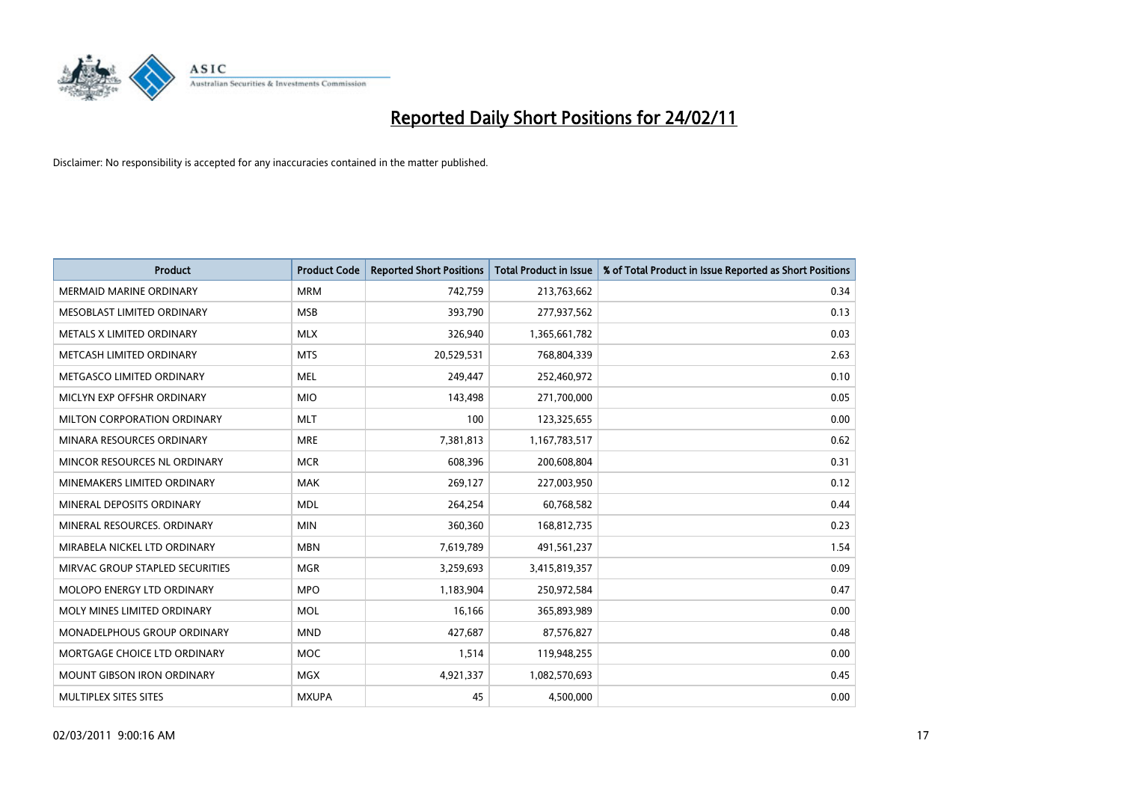

| Product                           | <b>Product Code</b> | <b>Reported Short Positions</b> | <b>Total Product in Issue</b> | % of Total Product in Issue Reported as Short Positions |
|-----------------------------------|---------------------|---------------------------------|-------------------------------|---------------------------------------------------------|
| <b>MERMAID MARINE ORDINARY</b>    | <b>MRM</b>          | 742,759                         | 213,763,662                   | 0.34                                                    |
| MESOBLAST LIMITED ORDINARY        | <b>MSB</b>          | 393,790                         | 277,937,562                   | 0.13                                                    |
| METALS X LIMITED ORDINARY         | <b>MLX</b>          | 326,940                         | 1,365,661,782                 | 0.03                                                    |
| METCASH LIMITED ORDINARY          | <b>MTS</b>          | 20,529,531                      | 768,804,339                   | 2.63                                                    |
| METGASCO LIMITED ORDINARY         | <b>MEL</b>          | 249,447                         | 252,460,972                   | 0.10                                                    |
| MICLYN EXP OFFSHR ORDINARY        | <b>MIO</b>          | 143,498                         | 271,700,000                   | 0.05                                                    |
| MILTON CORPORATION ORDINARY       | <b>MLT</b>          | 100                             | 123,325,655                   | 0.00                                                    |
| MINARA RESOURCES ORDINARY         | <b>MRE</b>          | 7,381,813                       | 1,167,783,517                 | 0.62                                                    |
| MINCOR RESOURCES NL ORDINARY      | <b>MCR</b>          | 608,396                         | 200,608,804                   | 0.31                                                    |
| MINEMAKERS LIMITED ORDINARY       | <b>MAK</b>          | 269,127                         | 227,003,950                   | 0.12                                                    |
| MINERAL DEPOSITS ORDINARY         | <b>MDL</b>          | 264,254                         | 60,768,582                    | 0.44                                                    |
| MINERAL RESOURCES, ORDINARY       | <b>MIN</b>          | 360,360                         | 168,812,735                   | 0.23                                                    |
| MIRABELA NICKEL LTD ORDINARY      | <b>MBN</b>          | 7,619,789                       | 491,561,237                   | 1.54                                                    |
| MIRVAC GROUP STAPLED SECURITIES   | <b>MGR</b>          | 3,259,693                       | 3,415,819,357                 | 0.09                                                    |
| MOLOPO ENERGY LTD ORDINARY        | <b>MPO</b>          | 1,183,904                       | 250,972,584                   | 0.47                                                    |
| MOLY MINES LIMITED ORDINARY       | <b>MOL</b>          | 16,166                          | 365,893,989                   | 0.00                                                    |
| MONADELPHOUS GROUP ORDINARY       | <b>MND</b>          | 427,687                         | 87,576,827                    | 0.48                                                    |
| MORTGAGE CHOICE LTD ORDINARY      | <b>MOC</b>          | 1,514                           | 119,948,255                   | 0.00                                                    |
| <b>MOUNT GIBSON IRON ORDINARY</b> | <b>MGX</b>          | 4,921,337                       | 1,082,570,693                 | 0.45                                                    |
| MULTIPLEX SITES SITES             | <b>MXUPA</b>        | 45                              | 4,500,000                     | 0.00                                                    |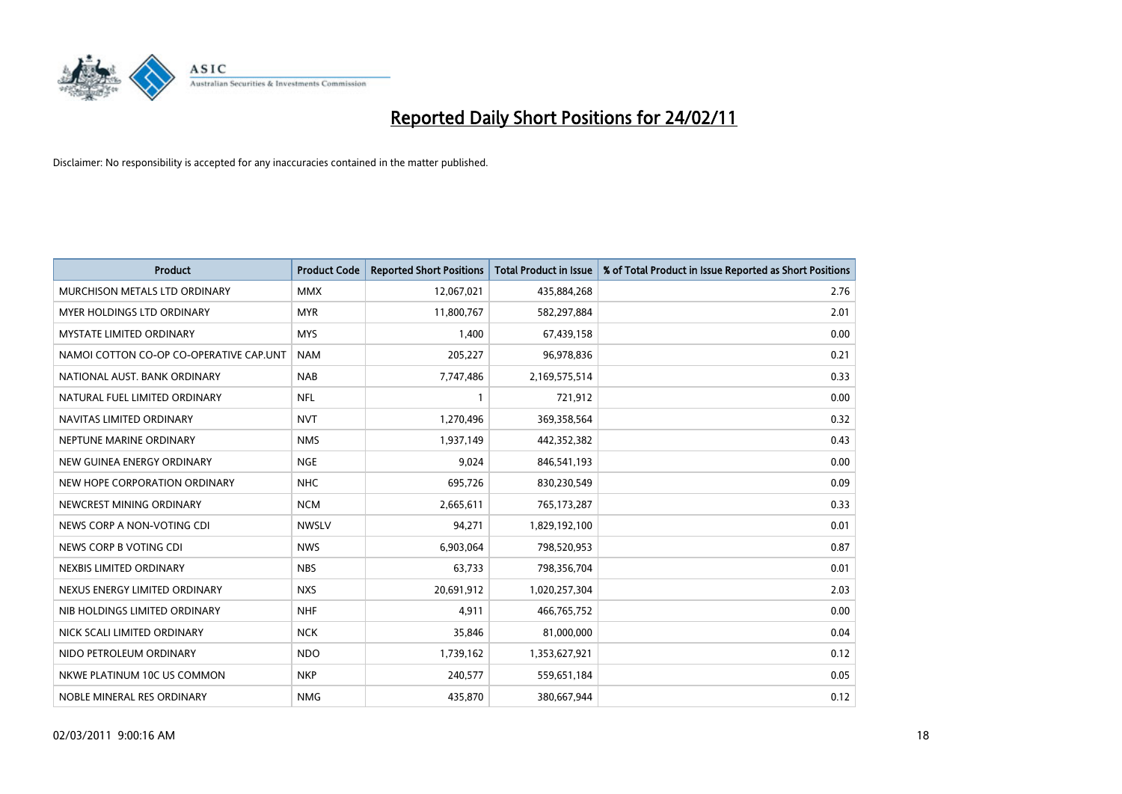

| <b>Product</b>                          | <b>Product Code</b> | <b>Reported Short Positions</b> | <b>Total Product in Issue</b> | % of Total Product in Issue Reported as Short Positions |
|-----------------------------------------|---------------------|---------------------------------|-------------------------------|---------------------------------------------------------|
| MURCHISON METALS LTD ORDINARY           | <b>MMX</b>          | 12,067,021                      | 435,884,268                   | 2.76                                                    |
| MYER HOLDINGS LTD ORDINARY              | <b>MYR</b>          | 11,800,767                      | 582,297,884                   | 2.01                                                    |
| <b>MYSTATE LIMITED ORDINARY</b>         | <b>MYS</b>          | 1,400                           | 67,439,158                    | 0.00                                                    |
| NAMOI COTTON CO-OP CO-OPERATIVE CAP.UNT | <b>NAM</b>          | 205,227                         | 96,978,836                    | 0.21                                                    |
| NATIONAL AUST. BANK ORDINARY            | <b>NAB</b>          | 7,747,486                       | 2,169,575,514                 | 0.33                                                    |
| NATURAL FUEL LIMITED ORDINARY           | <b>NFL</b>          | 1                               | 721,912                       | 0.00                                                    |
| NAVITAS LIMITED ORDINARY                | <b>NVT</b>          | 1,270,496                       | 369,358,564                   | 0.32                                                    |
| NEPTUNE MARINE ORDINARY                 | <b>NMS</b>          | 1,937,149                       | 442,352,382                   | 0.43                                                    |
| NEW GUINEA ENERGY ORDINARY              | <b>NGE</b>          | 9,024                           | 846,541,193                   | 0.00                                                    |
| NEW HOPE CORPORATION ORDINARY           | <b>NHC</b>          | 695,726                         | 830,230,549                   | 0.09                                                    |
| NEWCREST MINING ORDINARY                | <b>NCM</b>          | 2,665,611                       | 765,173,287                   | 0.33                                                    |
| NEWS CORP A NON-VOTING CDI              | <b>NWSLV</b>        | 94,271                          | 1,829,192,100                 | 0.01                                                    |
| NEWS CORP B VOTING CDI                  | <b>NWS</b>          | 6,903,064                       | 798,520,953                   | 0.87                                                    |
| NEXBIS LIMITED ORDINARY                 | <b>NBS</b>          | 63,733                          | 798,356,704                   | 0.01                                                    |
| NEXUS ENERGY LIMITED ORDINARY           | <b>NXS</b>          | 20,691,912                      | 1,020,257,304                 | 2.03                                                    |
| NIB HOLDINGS LIMITED ORDINARY           | <b>NHF</b>          | 4.911                           | 466,765,752                   | 0.00                                                    |
| NICK SCALI LIMITED ORDINARY             | <b>NCK</b>          | 35,846                          | 81,000,000                    | 0.04                                                    |
| NIDO PETROLEUM ORDINARY                 | <b>NDO</b>          | 1,739,162                       | 1,353,627,921                 | 0.12                                                    |
| NKWE PLATINUM 10C US COMMON             | <b>NKP</b>          | 240,577                         | 559,651,184                   | 0.05                                                    |
| NOBLE MINERAL RES ORDINARY              | <b>NMG</b>          | 435,870                         | 380,667,944                   | 0.12                                                    |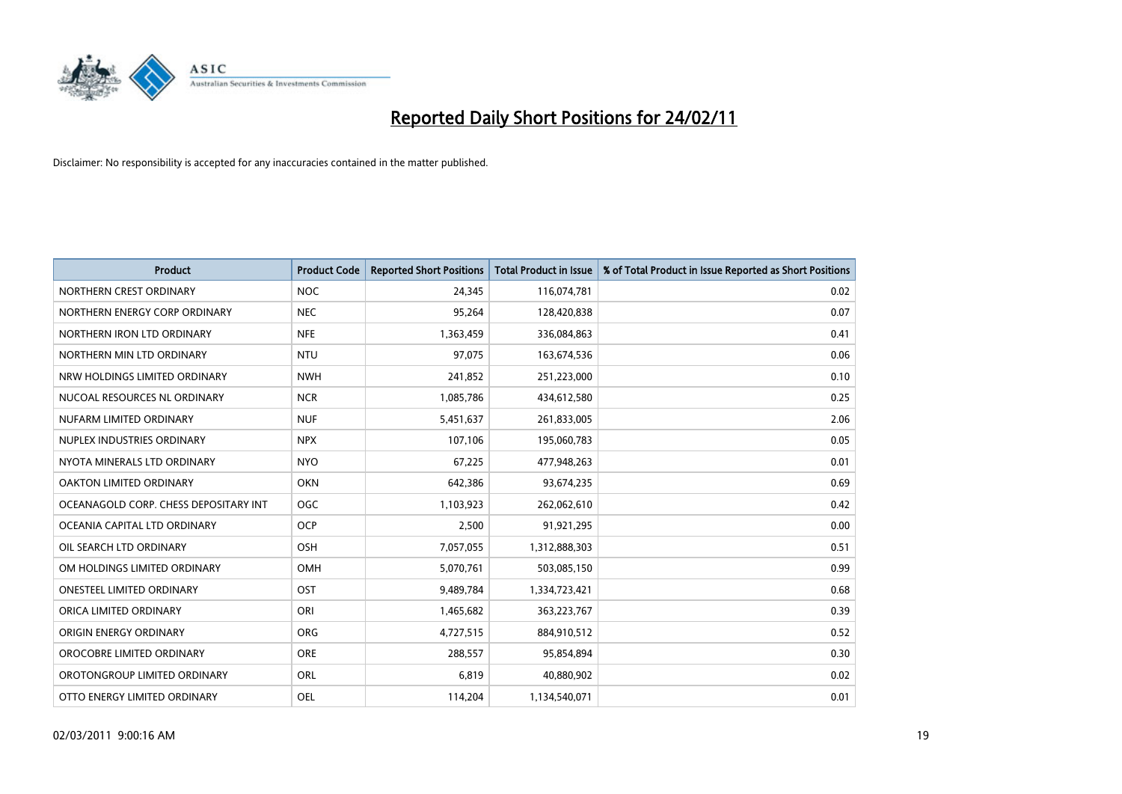

| Product                               | <b>Product Code</b> | <b>Reported Short Positions</b> | <b>Total Product in Issue</b> | % of Total Product in Issue Reported as Short Positions |
|---------------------------------------|---------------------|---------------------------------|-------------------------------|---------------------------------------------------------|
| NORTHERN CREST ORDINARY               | <b>NOC</b>          | 24,345                          | 116,074,781                   | 0.02                                                    |
| NORTHERN ENERGY CORP ORDINARY         | <b>NEC</b>          | 95,264                          | 128,420,838                   | 0.07                                                    |
| NORTHERN IRON LTD ORDINARY            | <b>NFE</b>          | 1,363,459                       | 336,084,863                   | 0.41                                                    |
| NORTHERN MIN LTD ORDINARY             | <b>NTU</b>          | 97,075                          | 163,674,536                   | 0.06                                                    |
| NRW HOLDINGS LIMITED ORDINARY         | <b>NWH</b>          | 241,852                         | 251,223,000                   | 0.10                                                    |
| NUCOAL RESOURCES NL ORDINARY          | <b>NCR</b>          | 1,085,786                       | 434,612,580                   | 0.25                                                    |
| NUFARM LIMITED ORDINARY               | <b>NUF</b>          | 5,451,637                       | 261,833,005                   | 2.06                                                    |
| NUPLEX INDUSTRIES ORDINARY            | <b>NPX</b>          | 107,106                         | 195,060,783                   | 0.05                                                    |
| NYOTA MINERALS LTD ORDINARY           | <b>NYO</b>          | 67,225                          | 477,948,263                   | 0.01                                                    |
| OAKTON LIMITED ORDINARY               | <b>OKN</b>          | 642,386                         | 93,674,235                    | 0.69                                                    |
| OCEANAGOLD CORP. CHESS DEPOSITARY INT | <b>OGC</b>          | 1,103,923                       | 262,062,610                   | 0.42                                                    |
| OCEANIA CAPITAL LTD ORDINARY          | <b>OCP</b>          | 2,500                           | 91,921,295                    | 0.00                                                    |
| OIL SEARCH LTD ORDINARY               | OSH                 | 7,057,055                       | 1,312,888,303                 | 0.51                                                    |
| OM HOLDINGS LIMITED ORDINARY          | <b>OMH</b>          | 5,070,761                       | 503,085,150                   | 0.99                                                    |
| <b>ONESTEEL LIMITED ORDINARY</b>      | OST                 | 9,489,784                       | 1,334,723,421                 | 0.68                                                    |
| ORICA LIMITED ORDINARY                | ORI                 | 1,465,682                       | 363,223,767                   | 0.39                                                    |
| ORIGIN ENERGY ORDINARY                | <b>ORG</b>          | 4,727,515                       | 884,910,512                   | 0.52                                                    |
| OROCOBRE LIMITED ORDINARY             | <b>ORE</b>          | 288,557                         | 95,854,894                    | 0.30                                                    |
| OROTONGROUP LIMITED ORDINARY          | <b>ORL</b>          | 6,819                           | 40,880,902                    | 0.02                                                    |
| OTTO ENERGY LIMITED ORDINARY          | <b>OEL</b>          | 114,204                         | 1,134,540,071                 | 0.01                                                    |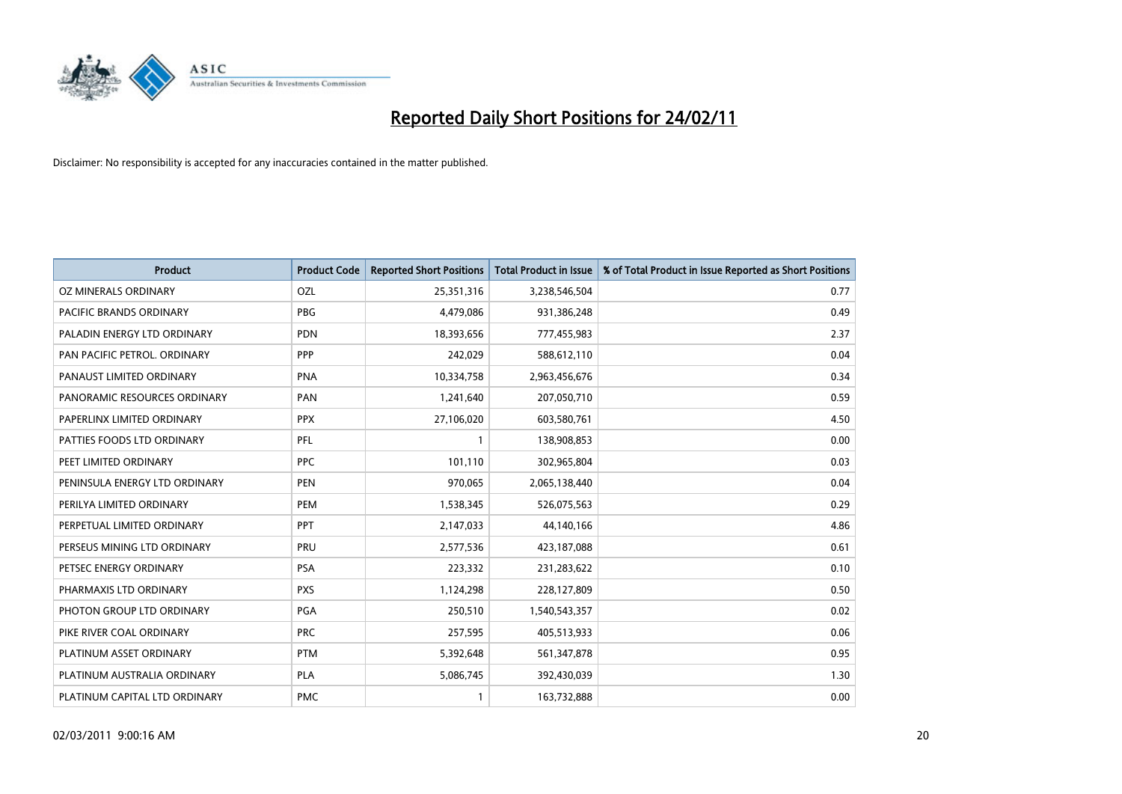

| <b>Product</b>                | <b>Product Code</b> | <b>Reported Short Positions</b> | <b>Total Product in Issue</b> | % of Total Product in Issue Reported as Short Positions |
|-------------------------------|---------------------|---------------------------------|-------------------------------|---------------------------------------------------------|
| OZ MINERALS ORDINARY          | OZL                 | 25,351,316                      | 3,238,546,504                 | 0.77                                                    |
| PACIFIC BRANDS ORDINARY       | <b>PBG</b>          | 4,479,086                       | 931,386,248                   | 0.49                                                    |
| PALADIN ENERGY LTD ORDINARY   | <b>PDN</b>          | 18,393,656                      | 777,455,983                   | 2.37                                                    |
| PAN PACIFIC PETROL. ORDINARY  | PPP                 | 242,029                         | 588,612,110                   | 0.04                                                    |
| PANAUST LIMITED ORDINARY      | <b>PNA</b>          | 10,334,758                      | 2,963,456,676                 | 0.34                                                    |
| PANORAMIC RESOURCES ORDINARY  | PAN                 | 1,241,640                       | 207,050,710                   | 0.59                                                    |
| PAPERLINX LIMITED ORDINARY    | <b>PPX</b>          | 27,106,020                      | 603,580,761                   | 4.50                                                    |
| PATTIES FOODS LTD ORDINARY    | PFL                 |                                 | 138,908,853                   | 0.00                                                    |
| PEET LIMITED ORDINARY         | <b>PPC</b>          | 101,110                         | 302,965,804                   | 0.03                                                    |
| PENINSULA ENERGY LTD ORDINARY | <b>PEN</b>          | 970,065                         | 2,065,138,440                 | 0.04                                                    |
| PERILYA LIMITED ORDINARY      | PEM                 | 1,538,345                       | 526,075,563                   | 0.29                                                    |
| PERPETUAL LIMITED ORDINARY    | PPT                 | 2,147,033                       | 44,140,166                    | 4.86                                                    |
| PERSEUS MINING LTD ORDINARY   | PRU                 | 2,577,536                       | 423,187,088                   | 0.61                                                    |
| PETSEC ENERGY ORDINARY        | <b>PSA</b>          | 223,332                         | 231,283,622                   | 0.10                                                    |
| PHARMAXIS LTD ORDINARY        | <b>PXS</b>          | 1,124,298                       | 228,127,809                   | 0.50                                                    |
| PHOTON GROUP LTD ORDINARY     | PGA                 | 250,510                         | 1,540,543,357                 | 0.02                                                    |
| PIKE RIVER COAL ORDINARY      | <b>PRC</b>          | 257,595                         | 405,513,933                   | 0.06                                                    |
| PLATINUM ASSET ORDINARY       | <b>PTM</b>          | 5,392,648                       | 561,347,878                   | 0.95                                                    |
| PLATINUM AUSTRALIA ORDINARY   | <b>PLA</b>          | 5,086,745                       | 392,430,039                   | 1.30                                                    |
| PLATINUM CAPITAL LTD ORDINARY | <b>PMC</b>          |                                 | 163,732,888                   | 0.00                                                    |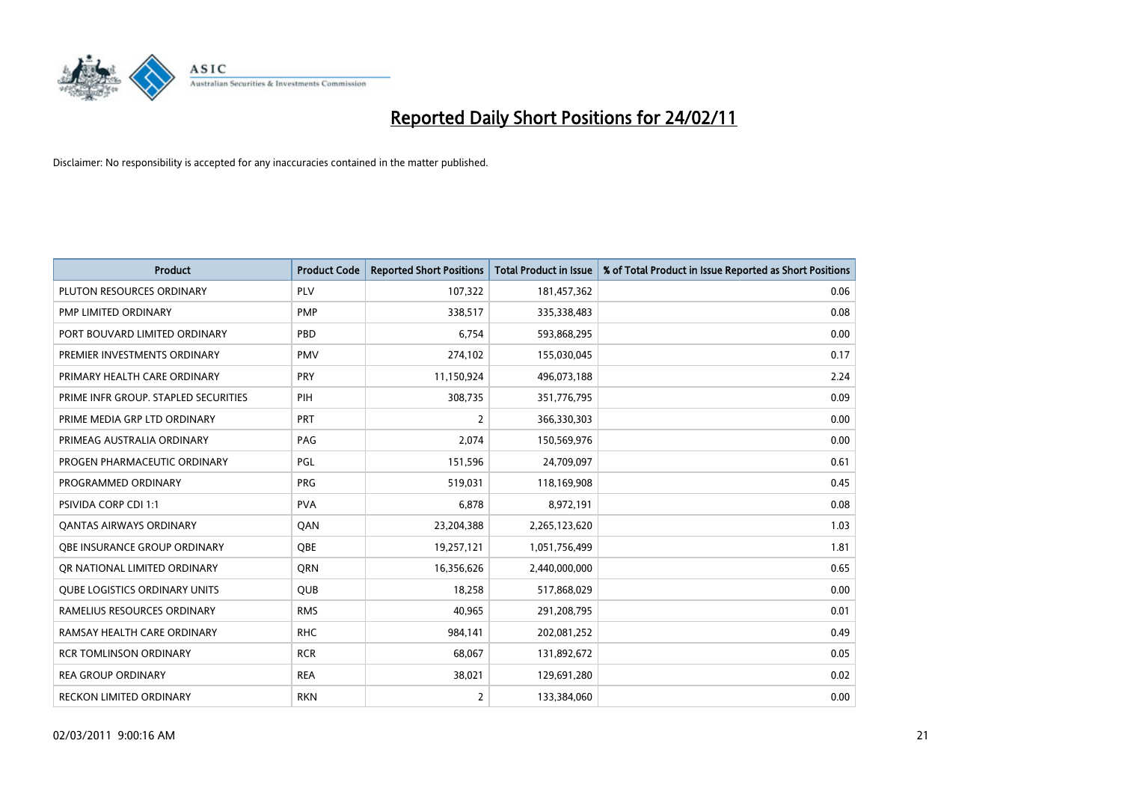

| Product                              | <b>Product Code</b> | <b>Reported Short Positions</b> | <b>Total Product in Issue</b> | % of Total Product in Issue Reported as Short Positions |
|--------------------------------------|---------------------|---------------------------------|-------------------------------|---------------------------------------------------------|
| PLUTON RESOURCES ORDINARY            | PLV                 | 107,322                         | 181,457,362                   | 0.06                                                    |
| PMP LIMITED ORDINARY                 | <b>PMP</b>          | 338,517                         | 335,338,483                   | 0.08                                                    |
| PORT BOUVARD LIMITED ORDINARY        | PBD                 | 6,754                           | 593,868,295                   | 0.00                                                    |
| PREMIER INVESTMENTS ORDINARY         | <b>PMV</b>          | 274,102                         | 155,030,045                   | 0.17                                                    |
| PRIMARY HEALTH CARE ORDINARY         | PRY                 | 11,150,924                      | 496,073,188                   | 2.24                                                    |
| PRIME INFR GROUP. STAPLED SECURITIES | PIH                 | 308,735                         | 351,776,795                   | 0.09                                                    |
| PRIME MEDIA GRP LTD ORDINARY         | <b>PRT</b>          | 2                               | 366,330,303                   | 0.00                                                    |
| PRIMEAG AUSTRALIA ORDINARY           | PAG                 | 2,074                           | 150,569,976                   | 0.00                                                    |
| PROGEN PHARMACEUTIC ORDINARY         | PGL                 | 151,596                         | 24,709,097                    | 0.61                                                    |
| PROGRAMMED ORDINARY                  | <b>PRG</b>          | 519,031                         | 118,169,908                   | 0.45                                                    |
| <b>PSIVIDA CORP CDI 1:1</b>          | <b>PVA</b>          | 6,878                           | 8,972,191                     | 0.08                                                    |
| <b>QANTAS AIRWAYS ORDINARY</b>       | QAN                 | 23,204,388                      | 2,265,123,620                 | 1.03                                                    |
| OBE INSURANCE GROUP ORDINARY         | <b>OBE</b>          | 19,257,121                      | 1,051,756,499                 | 1.81                                                    |
| OR NATIONAL LIMITED ORDINARY         | <b>ORN</b>          | 16,356,626                      | 2,440,000,000                 | 0.65                                                    |
| <b>QUBE LOGISTICS ORDINARY UNITS</b> | <b>QUB</b>          | 18,258                          | 517,868,029                   | 0.00                                                    |
| RAMELIUS RESOURCES ORDINARY          | <b>RMS</b>          | 40,965                          | 291,208,795                   | 0.01                                                    |
| RAMSAY HEALTH CARE ORDINARY          | <b>RHC</b>          | 984,141                         | 202,081,252                   | 0.49                                                    |
| <b>RCR TOMLINSON ORDINARY</b>        | <b>RCR</b>          | 68,067                          | 131,892,672                   | 0.05                                                    |
| <b>REA GROUP ORDINARY</b>            | <b>REA</b>          | 38,021                          | 129,691,280                   | 0.02                                                    |
| <b>RECKON LIMITED ORDINARY</b>       | <b>RKN</b>          | $\overline{2}$                  | 133,384,060                   | 0.00                                                    |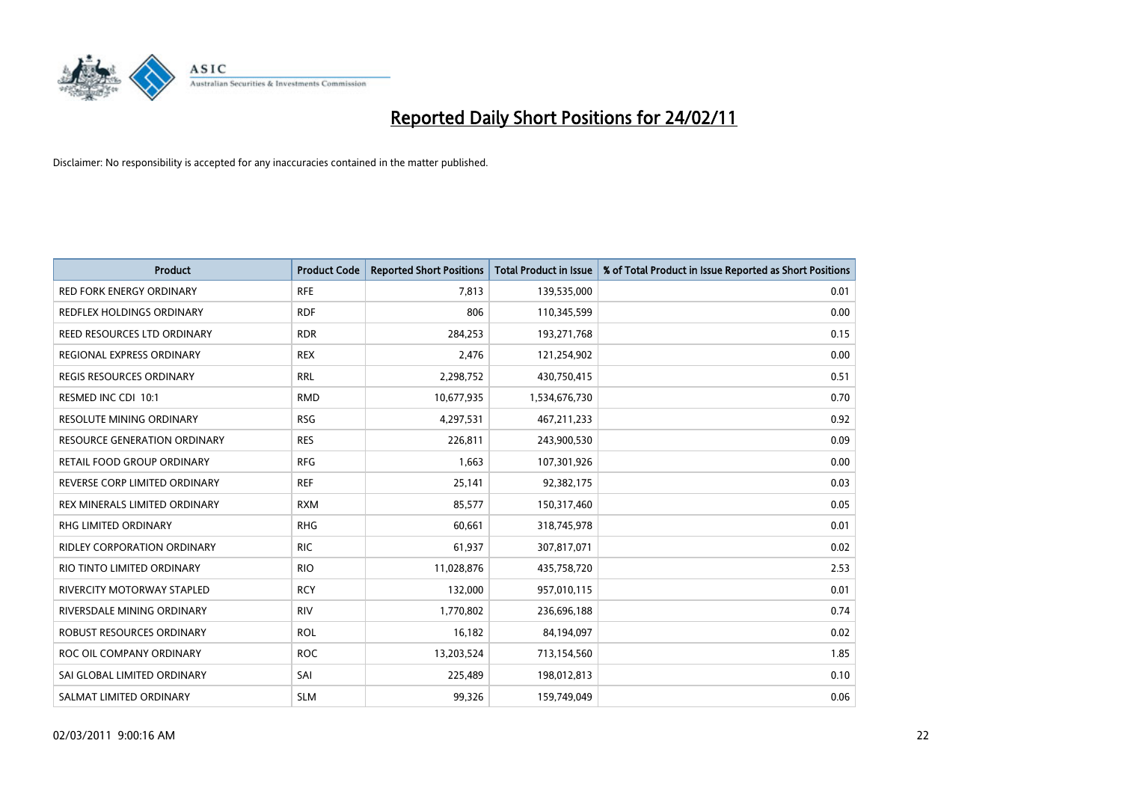

| Product                             | <b>Product Code</b> | <b>Reported Short Positions</b> | Total Product in Issue | % of Total Product in Issue Reported as Short Positions |
|-------------------------------------|---------------------|---------------------------------|------------------------|---------------------------------------------------------|
| <b>RED FORK ENERGY ORDINARY</b>     | <b>RFE</b>          | 7,813                           | 139,535,000            | 0.01                                                    |
| REDFLEX HOLDINGS ORDINARY           | <b>RDF</b>          | 806                             | 110,345,599            | 0.00                                                    |
| REED RESOURCES LTD ORDINARY         | <b>RDR</b>          | 284,253                         | 193,271,768            | 0.15                                                    |
| REGIONAL EXPRESS ORDINARY           | <b>REX</b>          | 2,476                           | 121,254,902            | 0.00                                                    |
| <b>REGIS RESOURCES ORDINARY</b>     | <b>RRL</b>          | 2,298,752                       | 430,750,415            | 0.51                                                    |
| RESMED INC CDI 10:1                 | <b>RMD</b>          | 10,677,935                      | 1,534,676,730          | 0.70                                                    |
| <b>RESOLUTE MINING ORDINARY</b>     | <b>RSG</b>          | 4,297,531                       | 467,211,233            | 0.92                                                    |
| <b>RESOURCE GENERATION ORDINARY</b> | <b>RES</b>          | 226,811                         | 243,900,530            | 0.09                                                    |
| RETAIL FOOD GROUP ORDINARY          | <b>RFG</b>          | 1,663                           | 107,301,926            | 0.00                                                    |
| REVERSE CORP LIMITED ORDINARY       | <b>REF</b>          | 25,141                          | 92,382,175             | 0.03                                                    |
| REX MINERALS LIMITED ORDINARY       | <b>RXM</b>          | 85,577                          | 150,317,460            | 0.05                                                    |
| RHG LIMITED ORDINARY                | <b>RHG</b>          | 60,661                          | 318,745,978            | 0.01                                                    |
| <b>RIDLEY CORPORATION ORDINARY</b>  | <b>RIC</b>          | 61,937                          | 307,817,071            | 0.02                                                    |
| RIO TINTO LIMITED ORDINARY          | <b>RIO</b>          | 11,028,876                      | 435,758,720            | 2.53                                                    |
| RIVERCITY MOTORWAY STAPLED          | <b>RCY</b>          | 132,000                         | 957,010,115            | 0.01                                                    |
| RIVERSDALE MINING ORDINARY          | <b>RIV</b>          | 1,770,802                       | 236,696,188            | 0.74                                                    |
| <b>ROBUST RESOURCES ORDINARY</b>    | <b>ROL</b>          | 16,182                          | 84,194,097             | 0.02                                                    |
| ROC OIL COMPANY ORDINARY            | <b>ROC</b>          | 13,203,524                      | 713,154,560            | 1.85                                                    |
| SAI GLOBAL LIMITED ORDINARY         | SAI                 | 225,489                         | 198,012,813            | 0.10                                                    |
| SALMAT LIMITED ORDINARY             | <b>SLM</b>          | 99,326                          | 159,749,049            | 0.06                                                    |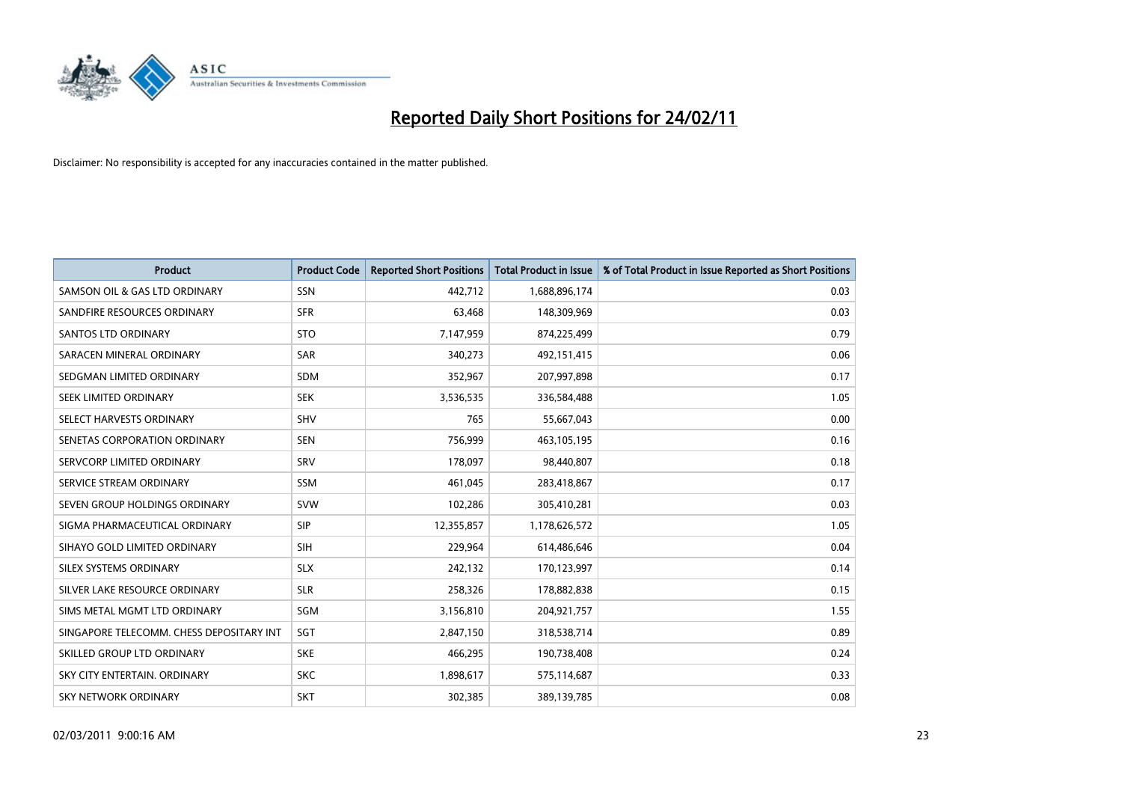

| <b>Product</b>                           | <b>Product Code</b> | <b>Reported Short Positions</b> | Total Product in Issue | % of Total Product in Issue Reported as Short Positions |
|------------------------------------------|---------------------|---------------------------------|------------------------|---------------------------------------------------------|
| SAMSON OIL & GAS LTD ORDINARY            | SSN                 | 442,712                         | 1,688,896,174          | 0.03                                                    |
| SANDFIRE RESOURCES ORDINARY              | <b>SFR</b>          | 63,468                          | 148,309,969            | 0.03                                                    |
| <b>SANTOS LTD ORDINARY</b>               | <b>STO</b>          | 7,147,959                       | 874,225,499            | 0.79                                                    |
| SARACEN MINERAL ORDINARY                 | SAR                 | 340,273                         | 492,151,415            | 0.06                                                    |
| SEDGMAN LIMITED ORDINARY                 | <b>SDM</b>          | 352,967                         | 207,997,898            | 0.17                                                    |
| SEEK LIMITED ORDINARY                    | <b>SEK</b>          | 3,536,535                       | 336,584,488            | 1.05                                                    |
| SELECT HARVESTS ORDINARY                 | <b>SHV</b>          | 765                             | 55,667,043             | 0.00                                                    |
| SENETAS CORPORATION ORDINARY             | <b>SEN</b>          | 756,999                         | 463,105,195            | 0.16                                                    |
| SERVCORP LIMITED ORDINARY                | SRV                 | 178,097                         | 98,440,807             | 0.18                                                    |
| SERVICE STREAM ORDINARY                  | <b>SSM</b>          | 461,045                         | 283,418,867            | 0.17                                                    |
| SEVEN GROUP HOLDINGS ORDINARY            | <b>SVW</b>          | 102,286                         | 305,410,281            | 0.03                                                    |
| SIGMA PHARMACEUTICAL ORDINARY            | <b>SIP</b>          | 12,355,857                      | 1,178,626,572          | 1.05                                                    |
| SIHAYO GOLD LIMITED ORDINARY             | <b>SIH</b>          | 229,964                         | 614,486,646            | 0.04                                                    |
| SILEX SYSTEMS ORDINARY                   | <b>SLX</b>          | 242,132                         | 170,123,997            | 0.14                                                    |
| SILVER LAKE RESOURCE ORDINARY            | <b>SLR</b>          | 258,326                         | 178,882,838            | 0.15                                                    |
| SIMS METAL MGMT LTD ORDINARY             | SGM                 | 3,156,810                       | 204,921,757            | 1.55                                                    |
| SINGAPORE TELECOMM. CHESS DEPOSITARY INT | SGT                 | 2,847,150                       | 318,538,714            | 0.89                                                    |
| SKILLED GROUP LTD ORDINARY               | <b>SKE</b>          | 466,295                         | 190,738,408            | 0.24                                                    |
| SKY CITY ENTERTAIN, ORDINARY             | <b>SKC</b>          | 1,898,617                       | 575,114,687            | 0.33                                                    |
| SKY NETWORK ORDINARY                     | <b>SKT</b>          | 302,385                         | 389,139,785            | 0.08                                                    |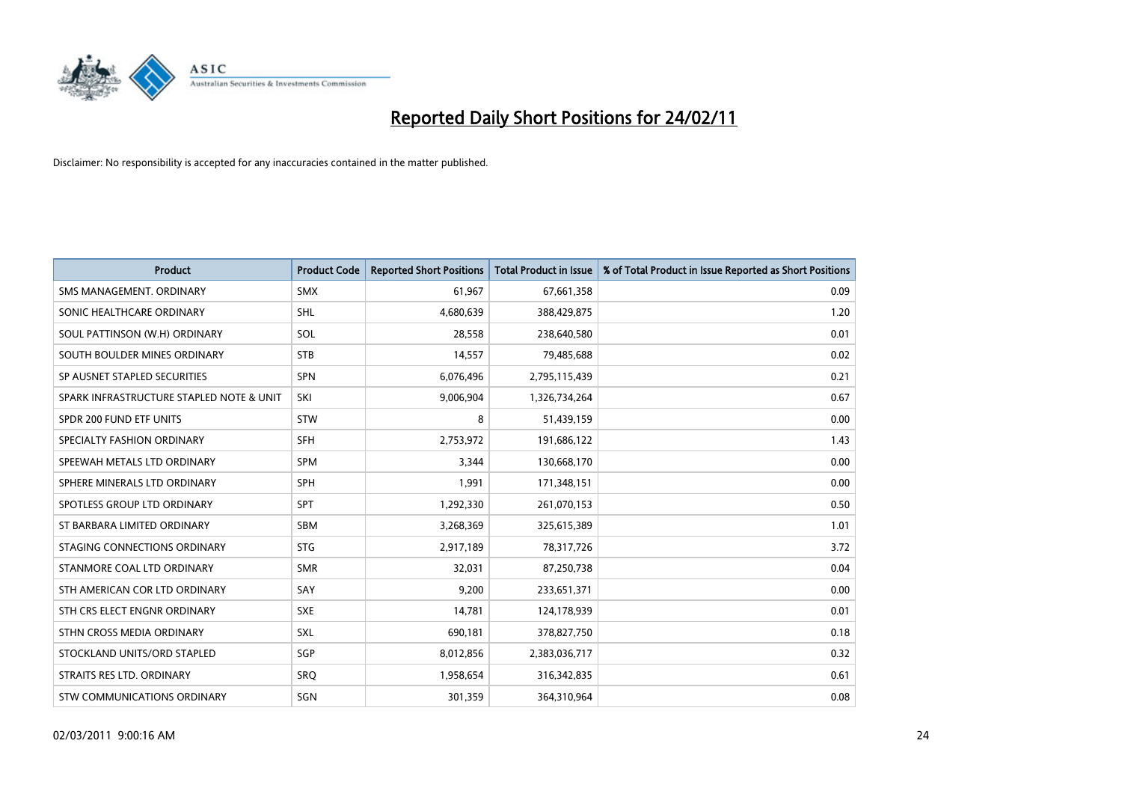

| <b>Product</b>                           | <b>Product Code</b> | <b>Reported Short Positions</b> | <b>Total Product in Issue</b> | % of Total Product in Issue Reported as Short Positions |
|------------------------------------------|---------------------|---------------------------------|-------------------------------|---------------------------------------------------------|
| SMS MANAGEMENT, ORDINARY                 | <b>SMX</b>          | 61,967                          | 67,661,358                    | 0.09                                                    |
| SONIC HEALTHCARE ORDINARY                | <b>SHL</b>          | 4,680,639                       | 388,429,875                   | 1.20                                                    |
| SOUL PATTINSON (W.H) ORDINARY            | SOL                 | 28,558                          | 238,640,580                   | 0.01                                                    |
| SOUTH BOULDER MINES ORDINARY             | <b>STB</b>          | 14,557                          | 79,485,688                    | 0.02                                                    |
| SP AUSNET STAPLED SECURITIES             | <b>SPN</b>          | 6,076,496                       | 2,795,115,439                 | 0.21                                                    |
| SPARK INFRASTRUCTURE STAPLED NOTE & UNIT | SKI                 | 9,006,904                       | 1,326,734,264                 | 0.67                                                    |
| SPDR 200 FUND ETF UNITS                  | <b>STW</b>          | 8                               | 51,439,159                    | 0.00                                                    |
| SPECIALTY FASHION ORDINARY               | <b>SFH</b>          | 2,753,972                       | 191,686,122                   | 1.43                                                    |
| SPEEWAH METALS LTD ORDINARY              | <b>SPM</b>          | 3,344                           | 130,668,170                   | 0.00                                                    |
| SPHERE MINERALS LTD ORDINARY             | <b>SPH</b>          | 1.991                           | 171,348,151                   | 0.00                                                    |
| SPOTLESS GROUP LTD ORDINARY              | <b>SPT</b>          | 1,292,330                       | 261,070,153                   | 0.50                                                    |
| ST BARBARA LIMITED ORDINARY              | SBM                 | 3,268,369                       | 325,615,389                   | 1.01                                                    |
| STAGING CONNECTIONS ORDINARY             | <b>STG</b>          | 2,917,189                       | 78,317,726                    | 3.72                                                    |
| STANMORE COAL LTD ORDINARY               | <b>SMR</b>          | 32,031                          | 87,250,738                    | 0.04                                                    |
| STH AMERICAN COR LTD ORDINARY            | SAY                 | 9,200                           | 233,651,371                   | 0.00                                                    |
| STH CRS ELECT ENGNR ORDINARY             | <b>SXE</b>          | 14,781                          | 124,178,939                   | 0.01                                                    |
| STHN CROSS MEDIA ORDINARY                | SXL                 | 690,181                         | 378,827,750                   | 0.18                                                    |
| STOCKLAND UNITS/ORD STAPLED              | SGP                 | 8,012,856                       | 2,383,036,717                 | 0.32                                                    |
| STRAITS RES LTD. ORDINARY                | SRO                 | 1,958,654                       | 316, 342, 835                 | 0.61                                                    |
| STW COMMUNICATIONS ORDINARY              | SGN                 | 301,359                         | 364,310,964                   | 0.08                                                    |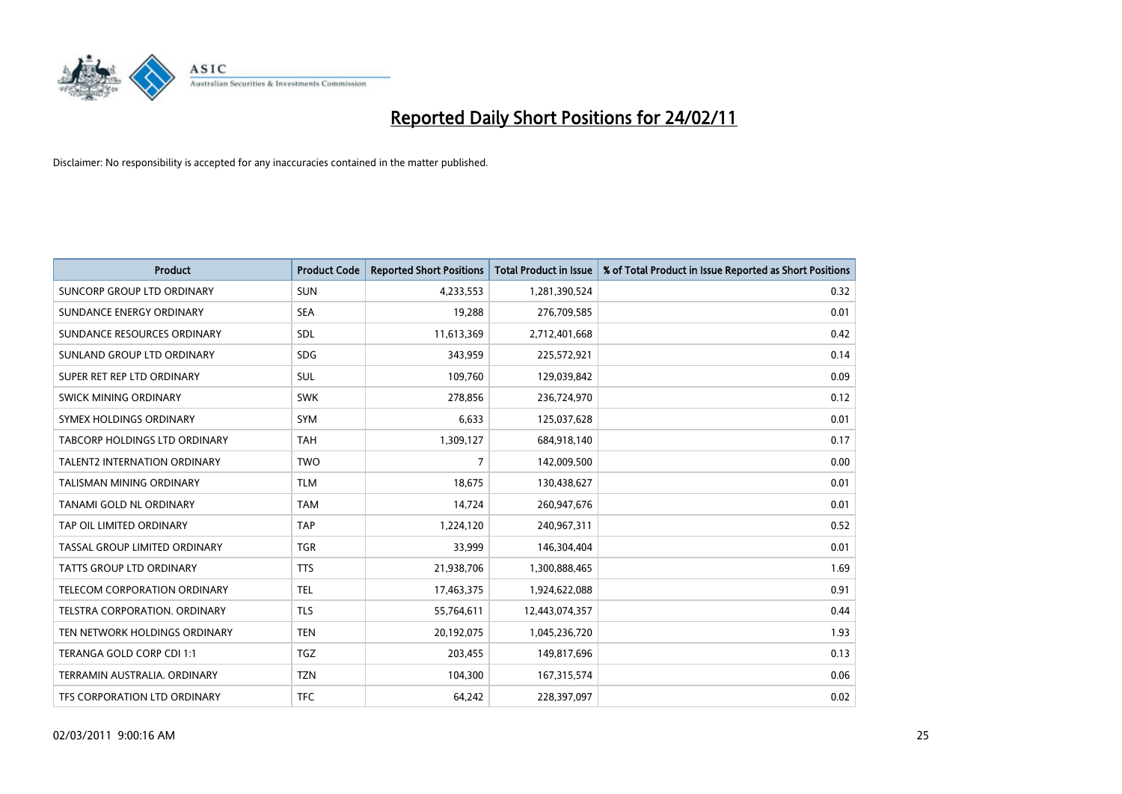

| <b>Product</b>                       | <b>Product Code</b> | <b>Reported Short Positions</b> | <b>Total Product in Issue</b> | % of Total Product in Issue Reported as Short Positions |
|--------------------------------------|---------------------|---------------------------------|-------------------------------|---------------------------------------------------------|
| SUNCORP GROUP LTD ORDINARY           | <b>SUN</b>          | 4,233,553                       | 1,281,390,524                 | 0.32                                                    |
| SUNDANCE ENERGY ORDINARY             | <b>SEA</b>          | 19,288                          | 276,709,585                   | 0.01                                                    |
| SUNDANCE RESOURCES ORDINARY          | SDL                 | 11,613,369                      | 2,712,401,668                 | 0.42                                                    |
| SUNLAND GROUP LTD ORDINARY           | <b>SDG</b>          | 343,959                         | 225,572,921                   | 0.14                                                    |
| SUPER RET REP LTD ORDINARY           | SUL                 | 109,760                         | 129,039,842                   | 0.09                                                    |
| SWICK MINING ORDINARY                | <b>SWK</b>          | 278,856                         | 236,724,970                   | 0.12                                                    |
| SYMEX HOLDINGS ORDINARY              | <b>SYM</b>          | 6,633                           | 125,037,628                   | 0.01                                                    |
| <b>TABCORP HOLDINGS LTD ORDINARY</b> | <b>TAH</b>          | 1,309,127                       | 684,918,140                   | 0.17                                                    |
| TALENT2 INTERNATION ORDINARY         | <b>TWO</b>          | 7                               | 142,009,500                   | 0.00                                                    |
| TALISMAN MINING ORDINARY             | <b>TLM</b>          | 18,675                          | 130,438,627                   | 0.01                                                    |
| TANAMI GOLD NL ORDINARY              | <b>TAM</b>          | 14,724                          | 260,947,676                   | 0.01                                                    |
| TAP OIL LIMITED ORDINARY             | <b>TAP</b>          | 1,224,120                       | 240,967,311                   | 0.52                                                    |
| TASSAL GROUP LIMITED ORDINARY        | <b>TGR</b>          | 33,999                          | 146,304,404                   | 0.01                                                    |
| <b>TATTS GROUP LTD ORDINARY</b>      | <b>TTS</b>          | 21,938,706                      | 1,300,888,465                 | 1.69                                                    |
| TELECOM CORPORATION ORDINARY         | <b>TEL</b>          | 17,463,375                      | 1,924,622,088                 | 0.91                                                    |
| TELSTRA CORPORATION, ORDINARY        | <b>TLS</b>          | 55,764,611                      | 12,443,074,357                | 0.44                                                    |
| TEN NETWORK HOLDINGS ORDINARY        | <b>TEN</b>          | 20,192,075                      | 1,045,236,720                 | 1.93                                                    |
| TERANGA GOLD CORP CDI 1:1            | <b>TGZ</b>          | 203,455                         | 149,817,696                   | 0.13                                                    |
| TERRAMIN AUSTRALIA, ORDINARY         | <b>TZN</b>          | 104,300                         | 167,315,574                   | 0.06                                                    |
| TFS CORPORATION LTD ORDINARY         | <b>TFC</b>          | 64,242                          | 228,397,097                   | 0.02                                                    |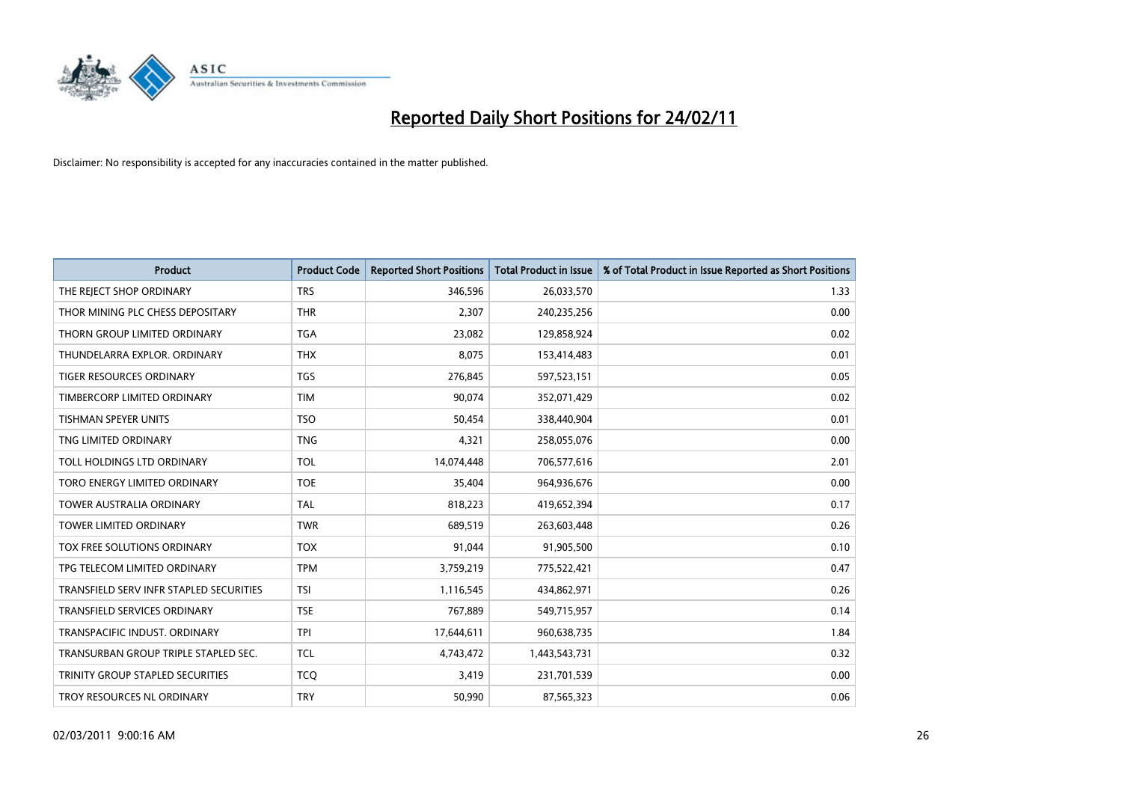

| <b>Product</b>                          | <b>Product Code</b> | <b>Reported Short Positions</b> | <b>Total Product in Issue</b> | % of Total Product in Issue Reported as Short Positions |
|-----------------------------------------|---------------------|---------------------------------|-------------------------------|---------------------------------------------------------|
| THE REJECT SHOP ORDINARY                | <b>TRS</b>          | 346,596                         | 26,033,570                    | 1.33                                                    |
| THOR MINING PLC CHESS DEPOSITARY        | <b>THR</b>          | 2,307                           | 240,235,256                   | 0.00                                                    |
| THORN GROUP LIMITED ORDINARY            | <b>TGA</b>          | 23,082                          | 129,858,924                   | 0.02                                                    |
| THUNDELARRA EXPLOR. ORDINARY            | <b>THX</b>          | 8,075                           | 153,414,483                   | 0.01                                                    |
| <b>TIGER RESOURCES ORDINARY</b>         | <b>TGS</b>          | 276,845                         | 597,523,151                   | 0.05                                                    |
| TIMBERCORP LIMITED ORDINARY             | <b>TIM</b>          | 90.074                          | 352,071,429                   | 0.02                                                    |
| <b>TISHMAN SPEYER UNITS</b>             | <b>TSO</b>          | 50,454                          | 338,440,904                   | 0.01                                                    |
| TNG LIMITED ORDINARY                    | <b>TNG</b>          | 4,321                           | 258,055,076                   | 0.00                                                    |
| TOLL HOLDINGS LTD ORDINARY              | <b>TOL</b>          | 14,074,448                      | 706,577,616                   | 2.01                                                    |
| TORO ENERGY LIMITED ORDINARY            | <b>TOE</b>          | 35,404                          | 964,936,676                   | 0.00                                                    |
| <b>TOWER AUSTRALIA ORDINARY</b>         | <b>TAL</b>          | 818,223                         | 419,652,394                   | 0.17                                                    |
| <b>TOWER LIMITED ORDINARY</b>           | <b>TWR</b>          | 689,519                         | 263,603,448                   | 0.26                                                    |
| <b>TOX FREE SOLUTIONS ORDINARY</b>      | <b>TOX</b>          | 91,044                          | 91,905,500                    | 0.10                                                    |
| TPG TELECOM LIMITED ORDINARY            | <b>TPM</b>          | 3,759,219                       | 775,522,421                   | 0.47                                                    |
| TRANSFIELD SERV INFR STAPLED SECURITIES | <b>TSI</b>          | 1,116,545                       | 434,862,971                   | 0.26                                                    |
| <b>TRANSFIELD SERVICES ORDINARY</b>     | <b>TSE</b>          | 767,889                         | 549,715,957                   | 0.14                                                    |
| TRANSPACIFIC INDUST, ORDINARY           | <b>TPI</b>          | 17,644,611                      | 960,638,735                   | 1.84                                                    |
| TRANSURBAN GROUP TRIPLE STAPLED SEC.    | <b>TCL</b>          | 4,743,472                       | 1,443,543,731                 | 0.32                                                    |
| TRINITY GROUP STAPLED SECURITIES        | <b>TCO</b>          | 3,419                           | 231,701,539                   | 0.00                                                    |
| TROY RESOURCES NL ORDINARY              | <b>TRY</b>          | 50,990                          | 87,565,323                    | 0.06                                                    |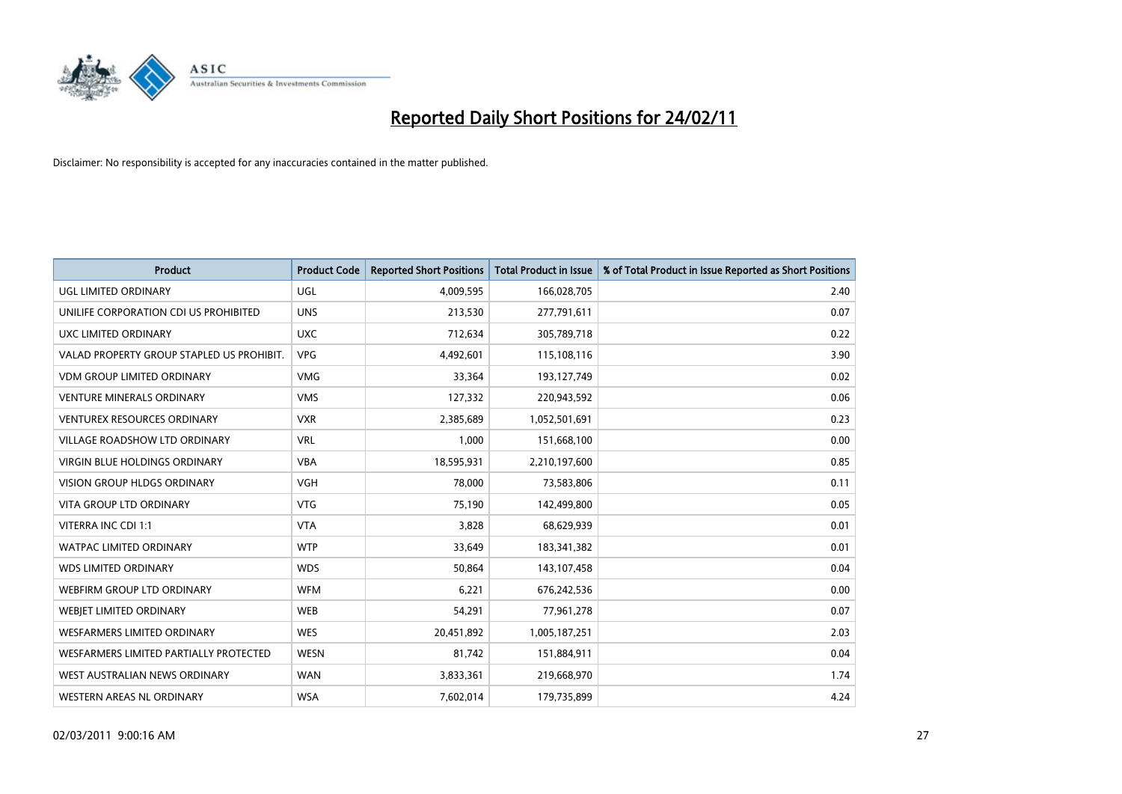

| <b>Product</b>                            | <b>Product Code</b> | <b>Reported Short Positions</b> | <b>Total Product in Issue</b> | % of Total Product in Issue Reported as Short Positions |
|-------------------------------------------|---------------------|---------------------------------|-------------------------------|---------------------------------------------------------|
| UGL LIMITED ORDINARY                      | <b>UGL</b>          | 4,009,595                       | 166,028,705                   | 2.40                                                    |
| UNILIFE CORPORATION CDI US PROHIBITED     | <b>UNS</b>          | 213,530                         | 277,791,611                   | 0.07                                                    |
| UXC LIMITED ORDINARY                      | <b>UXC</b>          | 712,634                         | 305,789,718                   | 0.22                                                    |
| VALAD PROPERTY GROUP STAPLED US PROHIBIT. | <b>VPG</b>          | 4,492,601                       | 115,108,116                   | 3.90                                                    |
| <b>VDM GROUP LIMITED ORDINARY</b>         | <b>VMG</b>          | 33,364                          | 193,127,749                   | 0.02                                                    |
| <b>VENTURE MINERALS ORDINARY</b>          | <b>VMS</b>          | 127,332                         | 220,943,592                   | 0.06                                                    |
| <b>VENTUREX RESOURCES ORDINARY</b>        | <b>VXR</b>          | 2,385,689                       | 1,052,501,691                 | 0.23                                                    |
| VILLAGE ROADSHOW LTD ORDINARY             | <b>VRL</b>          | 1,000                           | 151,668,100                   | 0.00                                                    |
| <b>VIRGIN BLUE HOLDINGS ORDINARY</b>      | <b>VBA</b>          | 18,595,931                      | 2,210,197,600                 | 0.85                                                    |
| <b>VISION GROUP HLDGS ORDINARY</b>        | <b>VGH</b>          | 78,000                          | 73,583,806                    | 0.11                                                    |
| VITA GROUP LTD ORDINARY                   | <b>VTG</b>          | 75,190                          | 142,499,800                   | 0.05                                                    |
| VITERRA INC CDI 1:1                       | <b>VTA</b>          | 3,828                           | 68,629,939                    | 0.01                                                    |
| WATPAC LIMITED ORDINARY                   | <b>WTP</b>          | 33,649                          | 183,341,382                   | 0.01                                                    |
| <b>WDS LIMITED ORDINARY</b>               | <b>WDS</b>          | 50,864                          | 143,107,458                   | 0.04                                                    |
| <b>WEBFIRM GROUP LTD ORDINARY</b>         | <b>WFM</b>          | 6,221                           | 676,242,536                   | 0.00                                                    |
| <b>WEBIET LIMITED ORDINARY</b>            | <b>WEB</b>          | 54,291                          | 77,961,278                    | 0.07                                                    |
| WESFARMERS LIMITED ORDINARY               | <b>WES</b>          | 20,451,892                      | 1,005,187,251                 | 2.03                                                    |
| WESFARMERS LIMITED PARTIALLY PROTECTED    | <b>WESN</b>         | 81,742                          | 151,884,911                   | 0.04                                                    |
| WEST AUSTRALIAN NEWS ORDINARY             | <b>WAN</b>          | 3,833,361                       | 219,668,970                   | 1.74                                                    |
| WESTERN AREAS NL ORDINARY                 | <b>WSA</b>          | 7,602,014                       | 179,735,899                   | 4.24                                                    |